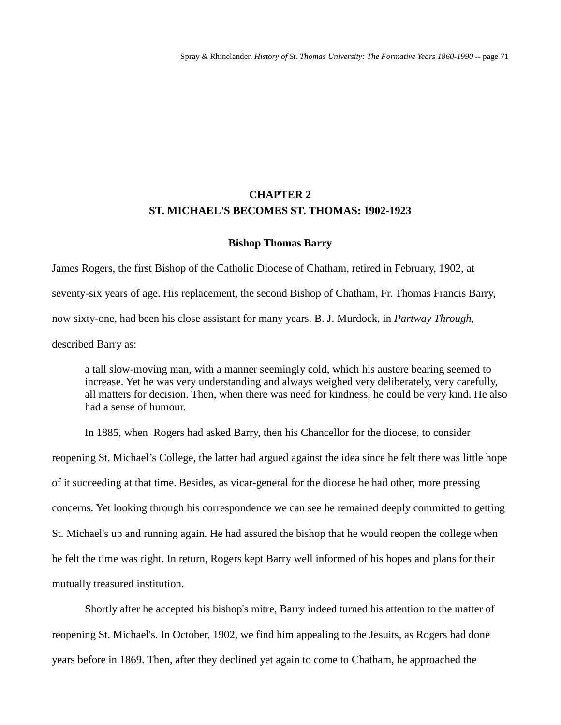# **CHAPTER 2 ST. MICHAEL'S BECOMES ST. THOMAS: 1902-1923**

#### **Bishop Thomas Barry**

James Rogers, the first Bishop of the Catholic Diocese of Chatham, retired in February, 1902, at seventy-six years of age. His replacement, the second Bishop of Chatham, Fr. Thomas Francis Barry, now sixty-one, had been his close assistant for many years. B. J. Murdock, in *Partway Through*, described Barry as:

a tall slow-moving man, with a manner seemingly cold, which his austere bearing seemed to increase. Yet he was very understanding and always weighed very deliberately, very carefully, all matters for decision. Then, when there was need for kindness, he could be very kind. He also had a sense of humour.

In 1885, when Rogers had asked Barry, then his Chancellor for the diocese, to consider reopening St. Michael's College, the latter had argued against the idea since he felt there was little hope of it succeeding at that time. Besides, as vicar-general for the diocese he had other, more pressing concerns. Yet looking through his correspondence we can see he remained deeply committed to getting St. Michael's up and running again. He had assured the bishop that he would reopen the college when he felt the time was right. In return, Rogers kept Barry well informed of his hopes and plans for their mutually treasured institution.

Shortly after he accepted his bishop's mitre, Barry indeed turned his attention to the matter of reopening St. Michael's. In October, 1902, we find him appealing to the Jesuits, as Rogers had done years before in 1869. Then, after they declined yet again to come to Chatham, he approached the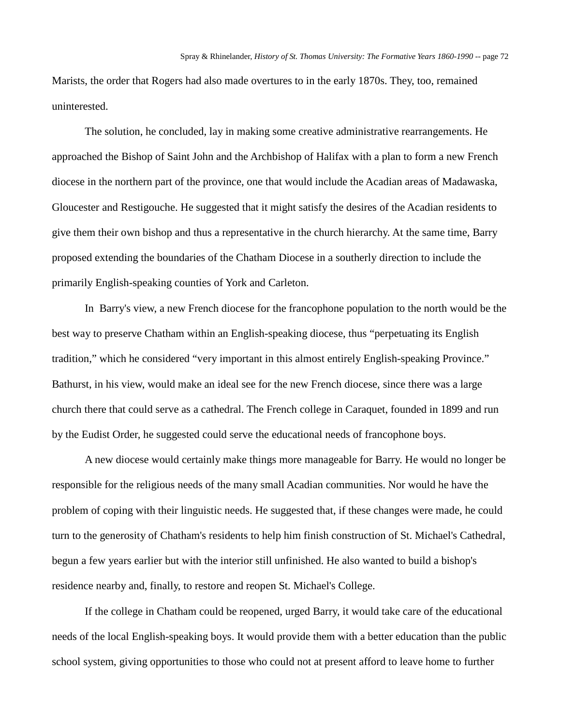Marists, the order that Rogers had also made overtures to in the early 1870s. They, too, remained uninterested.

The solution, he concluded, lay in making some creative administrative rearrangements. He approached the Bishop of Saint John and the Archbishop of Halifax with a plan to form a new French diocese in the northern part of the province, one that would include the Acadian areas of Madawaska, Gloucester and Restigouche. He suggested that it might satisfy the desires of the Acadian residents to give them their own bishop and thus a representative in the church hierarchy. At the same time, Barry proposed extending the boundaries of the Chatham Diocese in a southerly direction to include the primarily English-speaking counties of York and Carleton.

In Barry's view, a new French diocese for the francophone population to the north would be the best way to preserve Chatham within an English-speaking diocese, thus "perpetuating its English tradition," which he considered "very important in this almost entirely English-speaking Province." Bathurst, in his view, would make an ideal see for the new French diocese, since there was a large church there that could serve as a cathedral. The French college in Caraquet, founded in 1899 and run by the Eudist Order, he suggested could serve the educational needs of francophone boys.

A new diocese would certainly make things more manageable for Barry. He would no longer be responsible for the religious needs of the many small Acadian communities. Nor would he have the problem of coping with their linguistic needs. He suggested that, if these changes were made, he could turn to the generosity of Chatham's residents to help him finish construction of St. Michael's Cathedral, begun a few years earlier but with the interior still unfinished. He also wanted to build a bishop's residence nearby and, finally, to restore and reopen St. Michael's College.

If the college in Chatham could be reopened, urged Barry, it would take care of the educational needs of the local English-speaking boys. It would provide them with a better education than the public school system, giving opportunities to those who could not at present afford to leave home to further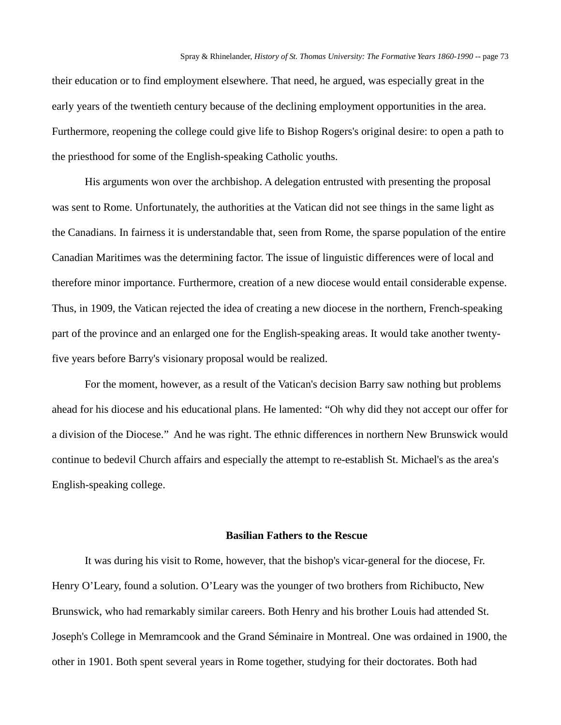their education or to find employment elsewhere. That need, he argued, was especially great in the early years of the twentieth century because of the declining employment opportunities in the area. Furthermore, reopening the college could give life to Bishop Rogers's original desire: to open a path to the priesthood for some of the English-speaking Catholic youths.

His arguments won over the archbishop. A delegation entrusted with presenting the proposal was sent to Rome. Unfortunately, the authorities at the Vatican did not see things in the same light as the Canadians. In fairness it is understandable that, seen from Rome, the sparse population of the entire Canadian Maritimes was the determining factor. The issue of linguistic differences were of local and therefore minor importance. Furthermore, creation of a new diocese would entail considerable expense. Thus, in 1909, the Vatican rejected the idea of creating a new diocese in the northern, French-speaking part of the province and an enlarged one for the English-speaking areas. It would take another twentyfive years before Barry's visionary proposal would be realized.

For the moment, however, as a result of the Vatican's decision Barry saw nothing but problems ahead for his diocese and his educational plans. He lamented: "Oh why did they not accept our offer for a division of the Diocese." And he was right. The ethnic differences in northern New Brunswick would continue to bedevil Church affairs and especially the attempt to re-establish St. Michael's as the area's English-speaking college.

# **Basilian Fathers to the Rescue**

It was during his visit to Rome, however, that the bishop's vicar-general for the diocese, Fr. Henry O'Leary, found a solution. O'Leary was the younger of two brothers from Richibucto, New Brunswick, who had remarkably similar careers. Both Henry and his brother Louis had attended St. Joseph's College in Memramcook and the Grand Séminaire in Montreal. One was ordained in 1900, the other in 1901. Both spent several years in Rome together, studying for their doctorates. Both had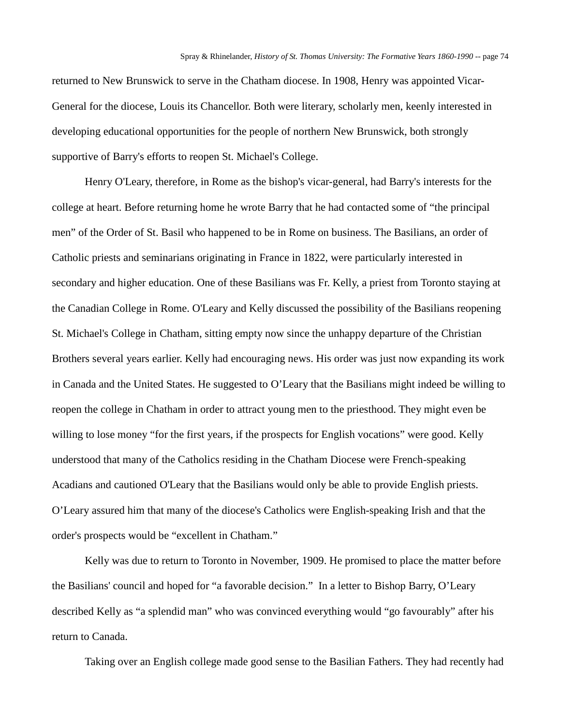returned to New Brunswick to serve in the Chatham diocese. In 1908, Henry was appointed Vicar-General for the diocese, Louis its Chancellor. Both were literary, scholarly men, keenly interested in developing educational opportunities for the people of northern New Brunswick, both strongly supportive of Barry's efforts to reopen St. Michael's College.

Henry O'Leary, therefore, in Rome as the bishop's vicar-general, had Barry's interests for the college at heart. Before returning home he wrote Barry that he had contacted some of "the principal men" of the Order of St. Basil who happened to be in Rome on business. The Basilians, an order of Catholic priests and seminarians originating in France in 1822, were particularly interested in secondary and higher education. One of these Basilians was Fr. Kelly, a priest from Toronto staying at the Canadian College in Rome. O'Leary and Kelly discussed the possibility of the Basilians reopening St. Michael's College in Chatham, sitting empty now since the unhappy departure of the Christian Brothers several years earlier. Kelly had encouraging news. His order was just now expanding its work in Canada and the United States. He suggested to O'Leary that the Basilians might indeed be willing to reopen the college in Chatham in order to attract young men to the priesthood. They might even be willing to lose money "for the first years, if the prospects for English vocations" were good. Kelly understood that many of the Catholics residing in the Chatham Diocese were French-speaking Acadians and cautioned O'Leary that the Basilians would only be able to provide English priests. O'Leary assured him that many of the diocese's Catholics were English-speaking Irish and that the order's prospects would be "excellent in Chatham."

Kelly was due to return to Toronto in November, 1909. He promised to place the matter before the Basilians' council and hoped for "a favorable decision." In a letter to Bishop Barry, O'Leary described Kelly as "a splendid man" who was convinced everything would "go favourably" after his return to Canada.

Taking over an English college made good sense to the Basilian Fathers. They had recently had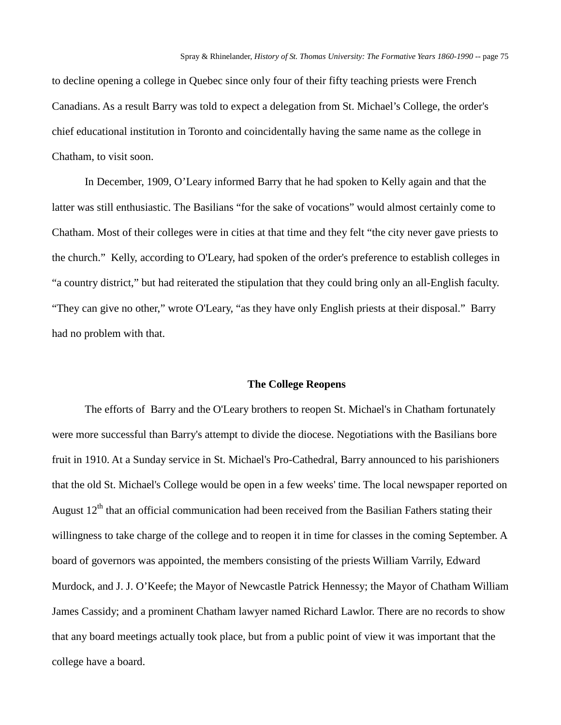to decline opening a college in Quebec since only four of their fifty teaching priests were French Canadians. As a result Barry was told to expect a delegation from St. Michael's College, the order's chief educational institution in Toronto and coincidentally having the same name as the college in Chatham, to visit soon.

In December, 1909, O'Leary informed Barry that he had spoken to Kelly again and that the latter was still enthusiastic. The Basilians "for the sake of vocations" would almost certainly come to Chatham. Most of their colleges were in cities at that time and they felt "the city never gave priests to the church." Kelly, according to O'Leary, had spoken of the order's preference to establish colleges in "a country district," but had reiterated the stipulation that they could bring only an all-English faculty. "They can give no other," wrote O'Leary, "as they have only English priests at their disposal." Barry had no problem with that.

#### **The College Reopens**

The efforts of Barry and the O'Leary brothers to reopen St. Michael's in Chatham fortunately were more successful than Barry's attempt to divide the diocese. Negotiations with the Basilians bore fruit in 1910. At a Sunday service in St. Michael's Pro-Cathedral, Barry announced to his parishioners that the old St. Michael's College would be open in a few weeks' time. The local newspaper reported on August  $12<sup>th</sup>$  that an official communication had been received from the Basilian Fathers stating their willingness to take charge of the college and to reopen it in time for classes in the coming September. A board of governors was appointed, the members consisting of the priests William Varrily, Edward Murdock, and J. J. O'Keefe; the Mayor of Newcastle Patrick Hennessy; the Mayor of Chatham William James Cassidy; and a prominent Chatham lawyer named Richard Lawlor. There are no records to show that any board meetings actually took place, but from a public point of view it was important that the college have a board.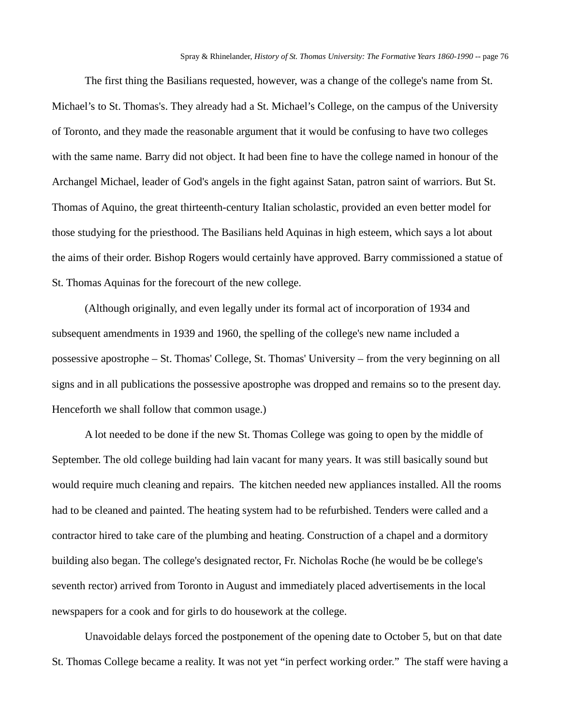The first thing the Basilians requested, however, was a change of the college's name from St. Michael's to St. Thomas's. They already had a St. Michael's College, on the campus of the University of Toronto, and they made the reasonable argument that it would be confusing to have two colleges with the same name. Barry did not object. It had been fine to have the college named in honour of the Archangel Michael, leader of God's angels in the fight against Satan, patron saint of warriors. But St. Thomas of Aquino, the great thirteenth-century Italian scholastic, provided an even better model for those studying for the priesthood. The Basilians held Aquinas in high esteem, which says a lot about the aims of their order. Bishop Rogers would certainly have approved. Barry commissioned a statue of St. Thomas Aquinas for the forecourt of the new college.

(Although originally, and even legally under its formal act of incorporation of 1934 and subsequent amendments in 1939 and 1960, the spelling of the college's new name included a possessive apostrophe – St. Thomas' College, St. Thomas' University – from the very beginning on all signs and in all publications the possessive apostrophe was dropped and remains so to the present day. Henceforth we shall follow that common usage.)

A lot needed to be done if the new St. Thomas College was going to open by the middle of September. The old college building had lain vacant for many years. It was still basically sound but would require much cleaning and repairs. The kitchen needed new appliances installed. All the rooms had to be cleaned and painted. The heating system had to be refurbished. Tenders were called and a contractor hired to take care of the plumbing and heating. Construction of a chapel and a dormitory building also began. The college's designated rector, Fr. Nicholas Roche (he would be be college's seventh rector) arrived from Toronto in August and immediately placed advertisements in the local newspapers for a cook and for girls to do housework at the college.

Unavoidable delays forced the postponement of the opening date to October 5, but on that date St. Thomas College became a reality. It was not yet "in perfect working order." The staff were having a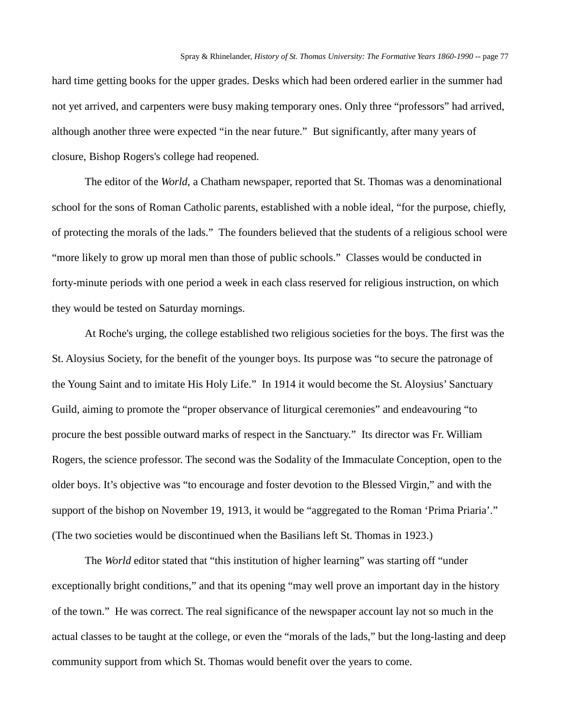hard time getting books for the upper grades. Desks which had been ordered earlier in the summer had not yet arrived, and carpenters were busy making temporary ones. Only three "professors" had arrived, although another three were expected "in the near future." But significantly, after many years of closure, Bishop Rogers's college had reopened.

The editor of the *World*, a Chatham newspaper, reported that St. Thomas was a denominational school for the sons of Roman Catholic parents, established with a noble ideal, "for the purpose, chiefly, of protecting the morals of the lads." The founders believed that the students of a religious school were "more likely to grow up moral men than those of public schools." Classes would be conducted in forty-minute periods with one period a week in each class reserved for religious instruction, on which they would be tested on Saturday mornings.

At Roche's urging, the college established two religious societies for the boys. The first was the St. Aloysius Society, for the benefit of the younger boys. Its purpose was "to secure the patronage of the Young Saint and to imitate His Holy Life." In 1914 it would become the St. Aloysius' Sanctuary Guild, aiming to promote the "proper observance of liturgical ceremonies" and endeavouring "to procure the best possible outward marks of respect in the Sanctuary." Its director was Fr. William Rogers, the science professor. The second was the Sodality of the Immaculate Conception, open to the older boys. It's objective was "to encourage and foster devotion to the Blessed Virgin," and with the support of the bishop on November 19, 1913, it would be "aggregated to the Roman 'Prima Priaria'." (The two societies would be discontinued when the Basilians left St. Thomas in 1923.)

The *World* editor stated that "this institution of higher learning" was starting off "under" exceptionally bright conditions," and that its opening "may well prove an important day in the history of the town." He was correct. The real significance of the newspaper account lay not so much in the actual classes to be taught at the college, or even the "morals of the lads," but the long-lasting and deep community support from which St. Thomas would benefit over the years to come.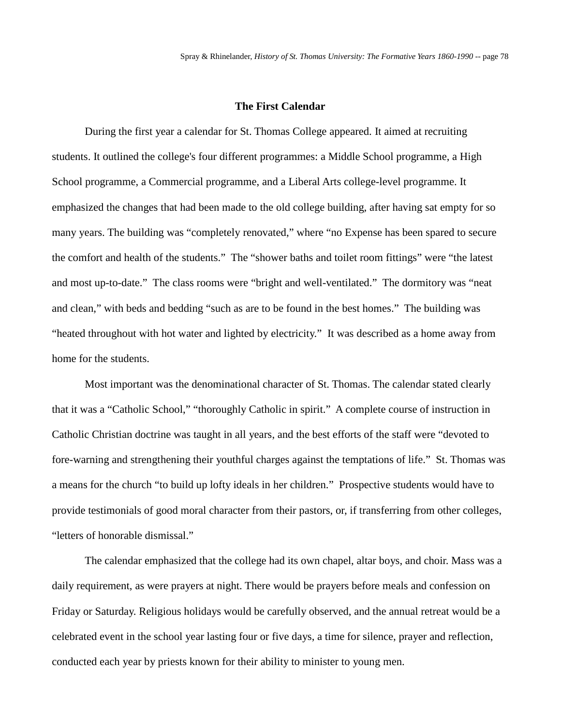# **The First Calendar**

During the first year a calendar for St. Thomas College appeared. It aimed at recruiting students. It outlined the college's four different programmes: a Middle School programme, a High School programme, a Commercial programme, and a Liberal Arts college-level programme. It emphasized the changes that had been made to the old college building, after having sat empty for so many years. The building was "completely renovated," where "no Expense has been spared to secure the comfort and health of the students." The "shower baths and toilet room fittings" were "the latest and most up-to-date." The class rooms were "bright and well-ventilated." The dormitory was "neat and clean," with beds and bedding "such as are to be found in the best homes." The building was "heated throughout with hot water and lighted by electricity." It was described as a home away from home for the students.

Most important was the denominational character of St. Thomas. The calendar stated clearly that it was a "Catholic School," "thoroughly Catholic in spirit." A complete course of instruction in Catholic Christian doctrine was taught in all years, and the best efforts of the staff were "devoted to fore-warning and strengthening their youthful charges against the temptations of life." St. Thomas was a means for the church "to build up lofty ideals in her children." Prospective students would have to provide testimonials of good moral character from their pastors, or, if transferring from other colleges, "letters of honorable dismissal."

The calendar emphasized that the college had its own chapel, altar boys, and choir. Mass was a daily requirement, as were prayers at night. There would be prayers before meals and confession on Friday or Saturday. Religious holidays would be carefully observed, and the annual retreat would be a celebrated event in the school year lasting four or five days, a time for silence, prayer and reflection, conducted each year by priests known for their ability to minister to young men.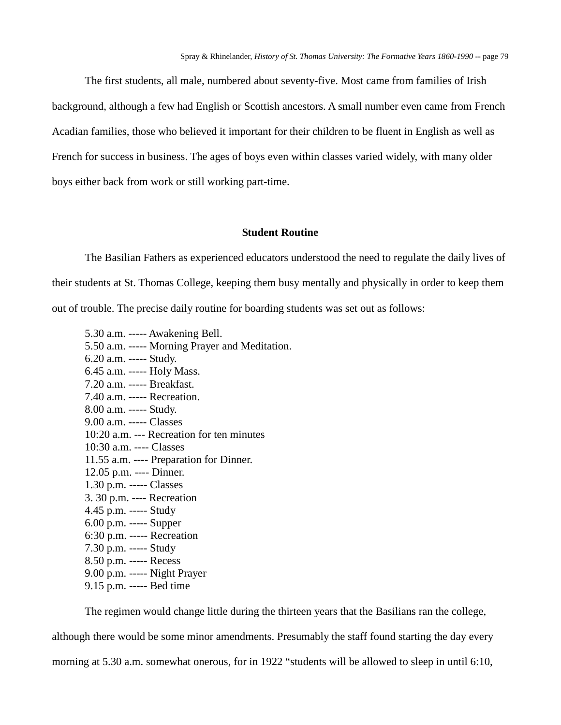The first students, all male, numbered about seventy-five. Most came from families of Irish background, although a few had English or Scottish ancestors. A small number even came from French Acadian families, those who believed it important for their children to be fluent in English as well as French for success in business. The ages of boys even within classes varied widely, with many older boys either back from work or still working part-time.

### **Student Routine**

The Basilian Fathers as experienced educators understood the need to regulate the daily lives of their students at St. Thomas College, keeping them busy mentally and physically in order to keep them out of trouble. The precise daily routine for boarding students was set out as follows:

5.30 a.m. ----- Awakening Bell. 5.50 a.m. ----- Morning Prayer and Meditation. 6.20 a.m. ----- Study. 6.45 a.m. ----- Holy Mass. 7.20 a.m. ----- Breakfast. 7.40 a.m. ----- Recreation. 8.00 a.m. ----- Study. 9.00 a.m. ----- Classes 10:20 a.m. --- Recreation for ten minutes 10:30 a.m. ---- Classes 11.55 a.m. ---- Preparation for Dinner. 12.05 p.m. ---- Dinner. 1.30 p.m. ----- Classes 3. 30 p.m. ---- Recreation 4.45 p.m. ----- Study 6.00 p.m. ----- Supper 6:30 p.m. ----- Recreation 7.30 p.m. ----- Study 8.50 p.m. ----- Recess 9.00 p.m. ----- Night Prayer 9.15 p.m. ----- Bed time

The regimen would change little during the thirteen years that the Basilians ran the college,

although there would be some minor amendments. Presumably the staff found starting the day every morning at 5.30 a.m. somewhat onerous, for in 1922 "students will be allowed to sleep in until 6:10,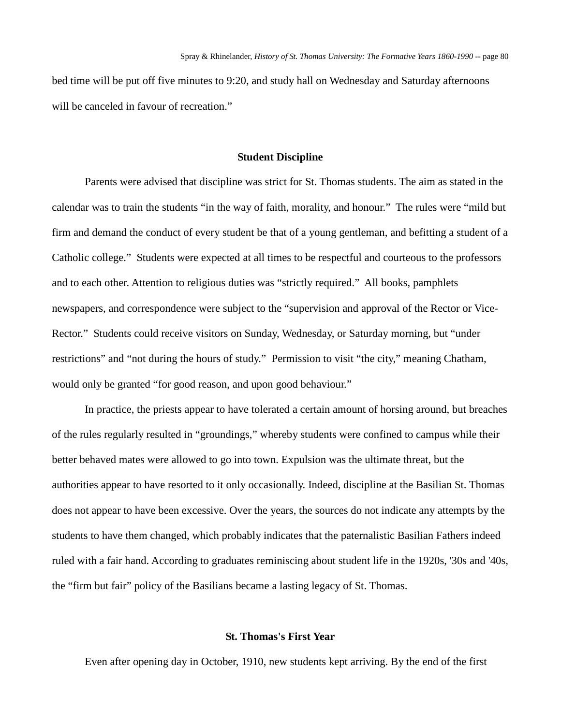bed time will be put off five minutes to 9:20, and study hall on Wednesday and Saturday afternoons will be canceled in favour of recreation."

#### **Student Discipline**

Parents were advised that discipline was strict for St. Thomas students. The aim as stated in the calendar was to train the students "in the way of faith, morality, and honour." The rules were "mild but firm and demand the conduct of every student be that of a young gentleman, and befitting a student of a Catholic college." Students were expected at all times to be respectful and courteous to the professors and to each other. Attention to religious duties was "strictly required." All books, pamphlets newspapers, and correspondence were subject to the "supervision and approval of the Rector or Vice-Rector." Students could receive visitors on Sunday, Wednesday, or Saturday morning, but "under restrictions" and "not during the hours of study." Permission to visit "the city," meaning Chatham, would only be granted "for good reason, and upon good behaviour."

In practice, the priests appear to have tolerated a certain amount of horsing around, but breaches of the rules regularly resulted in "groundings," whereby students were confined to campus while their better behaved mates were allowed to go into town. Expulsion was the ultimate threat, but the authorities appear to have resorted to it only occasionally. Indeed, discipline at the Basilian St. Thomas does not appear to have been excessive. Over the years, the sources do not indicate any attempts by the students to have them changed, which probably indicates that the paternalistic Basilian Fathers indeed ruled with a fair hand. According to graduates reminiscing about student life in the 1920s, '30s and '40s, the "firm but fair" policy of the Basilians became a lasting legacy of St. Thomas.

# **St. Thomas's First Year**

Even after opening day in October, 1910, new students kept arriving. By the end of the first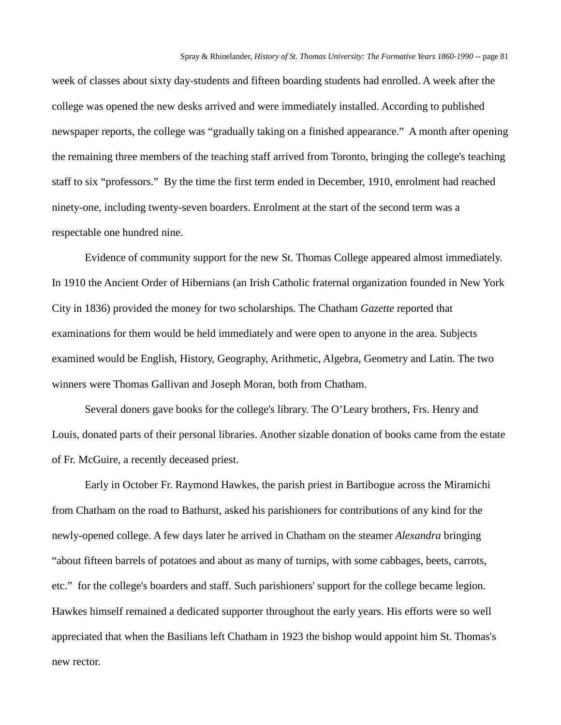week of classes about sixty day-students and fifteen boarding students had enrolled. A week after the college was opened the new desks arrived and were immediately installed. According to published newspaper reports, the college was "gradually taking on a finished appearance." A month after opening the remaining three members of the teaching staff arrived from Toronto, bringing the college's teaching staff to six "professors." By the time the first term ended in December, 1910, enrolment had reached ninety-one, including twenty-seven boarders. Enrolment at the start of the second term was a respectable one hundred nine.

Evidence of community support for the new St. Thomas College appeared almost immediately. In 1910 the Ancient Order of Hibernians (an Irish Catholic fraternal organization founded in New York City in 1836) provided the money for two scholarships. The Chatham *Gazette* reported that examinations for them would be held immediately and were open to anyone in the area. Subjects examined would be English, History, Geography, Arithmetic, Algebra, Geometry and Latin. The two winners were Thomas Gallivan and Joseph Moran, both from Chatham.

Several doners gave books for the college's library. The O'Leary brothers, Frs. Henry and Louis, donated parts of their personal libraries. Another sizable donation of books came from the estate of Fr. McGuire, a recently deceased priest.

Early in October Fr. Raymond Hawkes, the parish priest in Bartibogue across the Miramichi from Chatham on the road to Bathurst, asked his parishioners for contributions of any kind for the newly-opened college. A few days later he arrived in Chatham on the steamer *Alexandra* bringing "about fifteen barrels of potatoes and about as many of turnips, with some cabbages, beets, carrots, etc." for the college's boarders and staff. Such parishioners' support for the college became legion. Hawkes himself remained a dedicated supporter throughout the early years. His efforts were so well appreciated that when the Basilians left Chatham in 1923 the bishop would appoint him St. Thomas's new rector.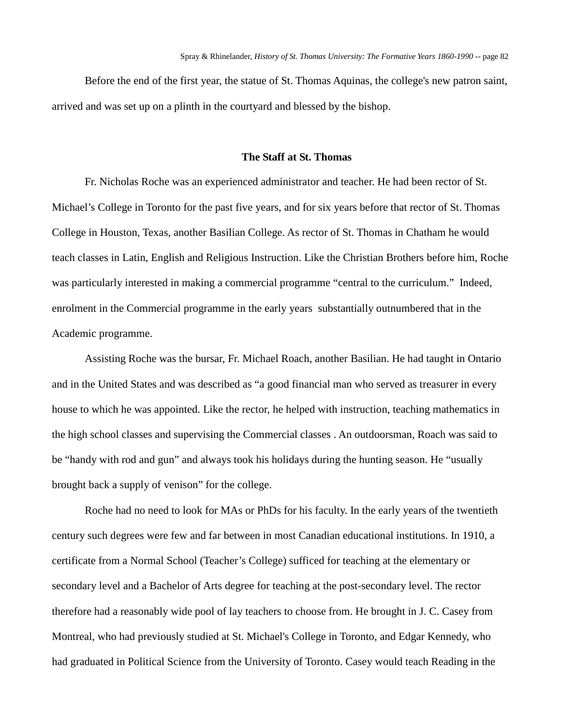Before the end of the first year, the statue of St. Thomas Aquinas, the college's new patron saint, arrived and was set up on a plinth in the courtyard and blessed by the bishop.

# **The Staff at St. Thomas**

Fr. Nicholas Roche was an experienced administrator and teacher. He had been rector of St. Michael's College in Toronto for the past five years, and for six years before that rector of St. Thomas College in Houston, Texas, another Basilian College. As rector of St. Thomas in Chatham he would teach classes in Latin, English and Religious Instruction. Like the Christian Brothers before him, Roche was particularly interested in making a commercial programme "central to the curriculum." Indeed, enrolment in the Commercial programme in the early years substantially outnumbered that in the Academic programme.

Assisting Roche was the bursar, Fr. Michael Roach, another Basilian. He had taught in Ontario and in the United States and was described as "a good financial man who served as treasurer in every house to which he was appointed. Like the rector, he helped with instruction, teaching mathematics in the high school classes and supervising the Commercial classes . An outdoorsman, Roach was said to be "handy with rod and gun" and always took his holidays during the hunting season. He "usually brought back a supply of venison" for the college.

Roche had no need to look for MAs or PhDs for his faculty. In the early years of the twentieth century such degrees were few and far between in most Canadian educational institutions. In 1910, a certificate from a Normal School (Teacher's College) sufficed for teaching at the elementary or secondary level and a Bachelor of Arts degree for teaching at the post-secondary level. The rector therefore had a reasonably wide pool of lay teachers to choose from. He brought in J. C. Casey from Montreal, who had previously studied at St. Michael's College in Toronto, and Edgar Kennedy, who had graduated in Political Science from the University of Toronto. Casey would teach Reading in the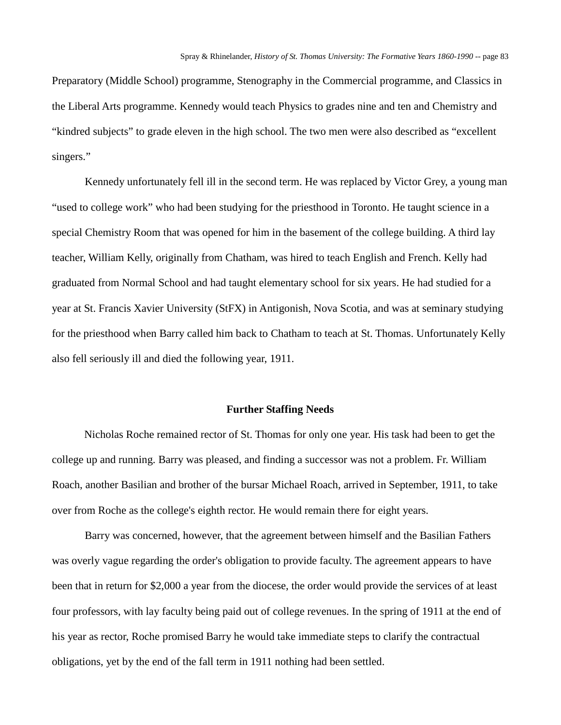Preparatory (Middle School) programme, Stenography in the Commercial programme, and Classics in the Liberal Arts programme. Kennedy would teach Physics to grades nine and ten and Chemistry and "kindred subjects" to grade eleven in the high school. The two men were also described as "excellent singers."

Kennedy unfortunately fell ill in the second term. He was replaced by Victor Grey, a young man "used to college work" who had been studying for the priesthood in Toronto. He taught science in a special Chemistry Room that was opened for him in the basement of the college building. A third lay teacher, William Kelly, originally from Chatham, was hired to teach English and French. Kelly had graduated from Normal School and had taught elementary school for six years. He had studied for a year at St. Francis Xavier University (StFX) in Antigonish, Nova Scotia, and was at seminary studying for the priesthood when Barry called him back to Chatham to teach at St. Thomas. Unfortunately Kelly also fell seriously ill and died the following year, 1911.

### **Further Staffing Needs**

Nicholas Roche remained rector of St. Thomas for only one year. His task had been to get the college up and running. Barry was pleased, and finding a successor was not a problem. Fr. William Roach, another Basilian and brother of the bursar Michael Roach, arrived in September, 1911, to take over from Roche as the college's eighth rector. He would remain there for eight years.

Barry was concerned, however, that the agreement between himself and the Basilian Fathers was overly vague regarding the order's obligation to provide faculty. The agreement appears to have been that in return for \$2,000 a year from the diocese, the order would provide the services of at least four professors, with lay faculty being paid out of college revenues. In the spring of 1911 at the end of his year as rector, Roche promised Barry he would take immediate steps to clarify the contractual obligations, yet by the end of the fall term in 1911 nothing had been settled.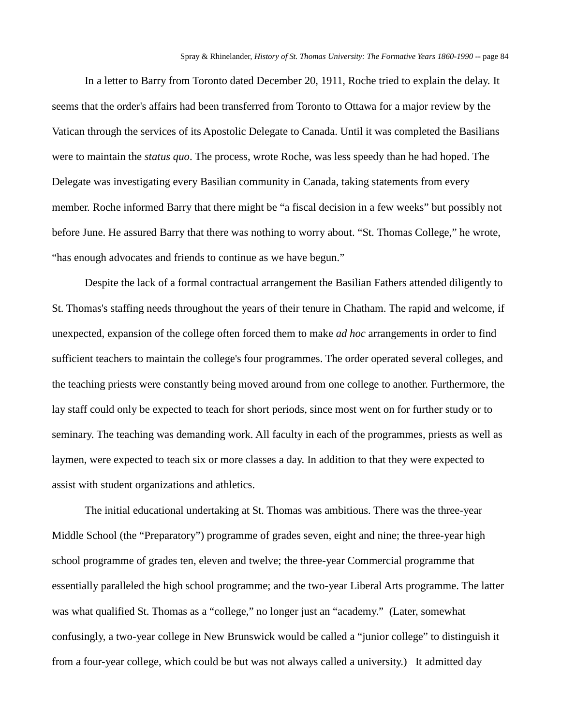In a letter to Barry from Toronto dated December 20, 1911, Roche tried to explain the delay. It seems that the order's affairs had been transferred from Toronto to Ottawa for a major review by the Vatican through the services of its Apostolic Delegate to Canada. Until it was completed the Basilians were to maintain the *status quo*. The process, wrote Roche, was less speedy than he had hoped. The Delegate was investigating every Basilian community in Canada, taking statements from every member. Roche informed Barry that there might be "a fiscal decision in a few weeks" but possibly not before June. He assured Barry that there was nothing to worry about. "St. Thomas College," he wrote, "has enough advocates and friends to continue as we have begun."

Despite the lack of a formal contractual arrangement the Basilian Fathers attended diligently to St. Thomas's staffing needs throughout the years of their tenure in Chatham. The rapid and welcome, if unexpected, expansion of the college often forced them to make *ad hoc* arrangements in order to find sufficient teachers to maintain the college's four programmes. The order operated several colleges, and the teaching priests were constantly being moved around from one college to another. Furthermore, the lay staff could only be expected to teach for short periods, since most went on for further study or to seminary. The teaching was demanding work. All faculty in each of the programmes, priests as well as laymen, were expected to teach six or more classes a day. In addition to that they were expected to assist with student organizations and athletics.

The initial educational undertaking at St. Thomas was ambitious. There was the three-year Middle School (the "Preparatory") programme of grades seven, eight and nine; the three-year high school programme of grades ten, eleven and twelve; the three-year Commercial programme that essentially paralleled the high school programme; and the two-year Liberal Arts programme. The latter was what qualified St. Thomas as a "college," no longer just an "academy." (Later, somewhat confusingly, a two-year college in New Brunswick would be called a "junior college" to distinguish it from a four-year college, which could be but was not always called a university.) It admitted day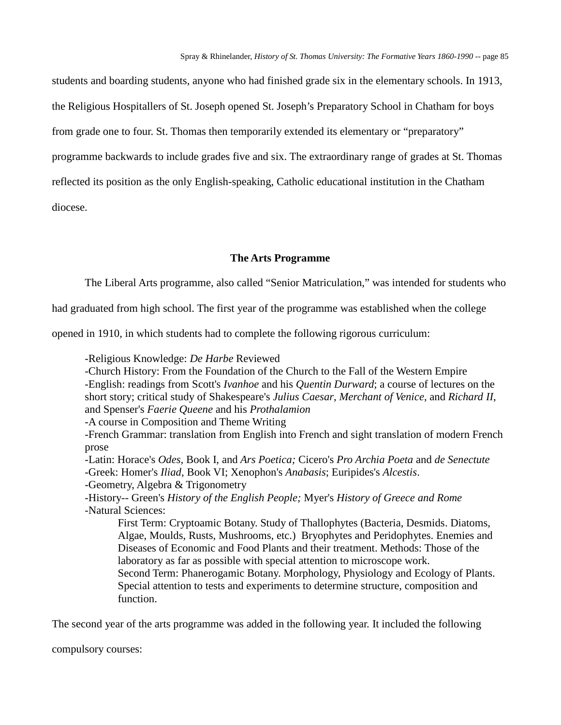students and boarding students, anyone who had finished grade six in the elementary schools. In 1913, the Religious Hospitallers of St. Joseph opened St. Joseph's Preparatory School in Chatham for boys from grade one to four. St. Thomas then temporarily extended its elementary or "preparatory" programme backwards to include grades five and six. The extraordinary range of grades at St. Thomas reflected its position as the only English-speaking, Catholic educational institution in the Chatham diocese.

### **The Arts Programme**

The Liberal Arts programme, also called "Senior Matriculation," was intended for students who

had graduated from high school. The first year of the programme was established when the college

opened in 1910, in which students had to complete the following rigorous curriculum:

-Religious Knowledge: *De Harbe* Reviewed

-Church History: From the Foundation of the Church to the Fall of the Western Empire -English: readings from Scott's *Ivanhoe* and his *Quentin Durward*; a course of lectures on the short story; critical study of Shakespeare's *Julius Caesar*, *Merchant of Venice*, and *Richard II*, and Spenser's *Faerie Queene* and his *Prothalamion*

*-*A course in Composition and Theme Writing

-French Grammar: translation from English into French and sight translation of modern French prose

-Latin: Horace's *Odes,* Book I, and *Ars Poetica;* Cicero's *Pro Archia Poeta* and *de Senectute* -Greek: Homer's *Iliad*, Book VI; Xenophon's *Anabasis*; Euripides's *Alcestis*.

-Geometry, Algebra & Trigonometry

-History-- Green's *History of the English People;* Myer's *History of Greece and Rome* -Natural Sciences:

First Term: Cryptoamic Botany. Study of Thallophytes (Bacteria, Desmids. Diatoms, Algae, Moulds, Rusts, Mushrooms, etc.) Bryophytes and Peridophytes. Enemies and Diseases of Economic and Food Plants and their treatment. Methods: Those of the laboratory as far as possible with special attention to microscope work.

Second Term: Phanerogamic Botany. Morphology, Physiology and Ecology of Plants. Special attention to tests and experiments to determine structure, composition and function.

The second year of the arts programme was added in the following year. It included the following

compulsory courses: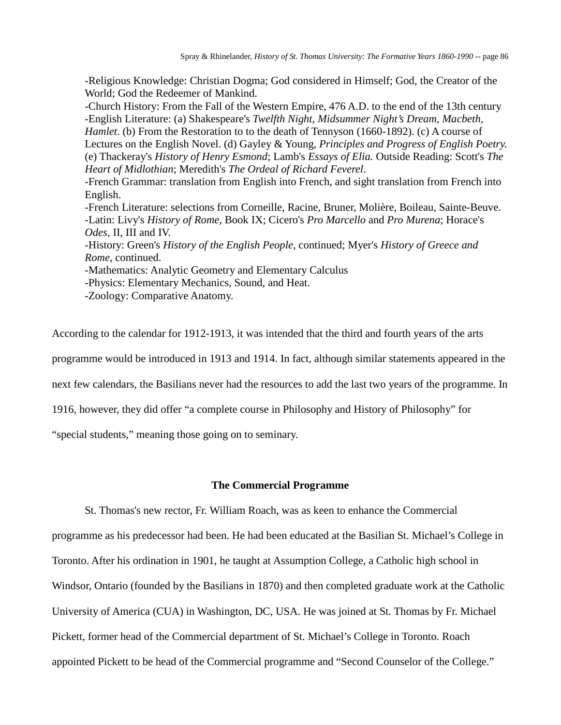-Religious Knowledge: Christian Dogma; God considered in Himself; God, the Creator of the World; God the Redeemer of Mankind.

-Church History: From the Fall of the Western Empire, 476 A.D. to the end of the 13th century -English Literature: (a) Shakespeare's *Twelfth Night*, *Midsummer Night's Dream*, *Macbeth, Hamlet*. (b) From the Restoration to to the death of Tennyson (1660-1892). (c) A course of Lectures on the English Novel. (d) Gayley & Young, *Principles and Progress of English Poetry.*  (e) Thackeray's *History of Henry Esmond*; Lamb's *Essays of Elia.* Outside Reading: Scott's *The Heart of Midlothian*; Meredith's *The Ordeal of Richard Feverel*.

-French Grammar: translation from English into French, and sight translation from French into English.

-French Literature: selections from Corneille, Racine, Bruner, Molière, Boileau, Sainte-Beuve. -Latin: Livy's *History of Rome,* Book IX; Cicero's *Pro Marcello* and *Pro Murena*; Horace's *Odes,* II, III and IV.

-History: Green's *History of the English People*, continued; Myer's *History of Greece and Rome*, continued.

-Mathematics: Analytic Geometry and Elementary Calculus

-Physics: Elementary Mechanics, Sound, and Heat.

-Zoology: Comparative Anatomy.

According to the calendar for 1912-1913, it was intended that the third and fourth years of the arts

programme would be introduced in 1913 and 1914. In fact, although similar statements appeared in the

next few calendars, the Basilians never had the resources to add the last two years of the programme. In

1916, however, they did offer "a complete course in Philosophy and History of Philosophy" for

"special students," meaning those going on to seminary.

### **The Commercial Programme**

St. Thomas's new rector, Fr. William Roach, was as keen to enhance the Commercial programme as his predecessor had been. He had been educated at the Basilian St. Michael's College in Toronto. After his ordination in 1901, he taught at Assumption College, a Catholic high school in Windsor, Ontario (founded by the Basilians in 1870) and then completed graduate work at the Catholic University of America (CUA) in Washington, DC, USA. He was joined at St. Thomas by Fr. Michael Pickett, former head of the Commercial department of St. Michael's College in Toronto. Roach appointed Pickett to be head of the Commercial programme and "Second Counselor of the College."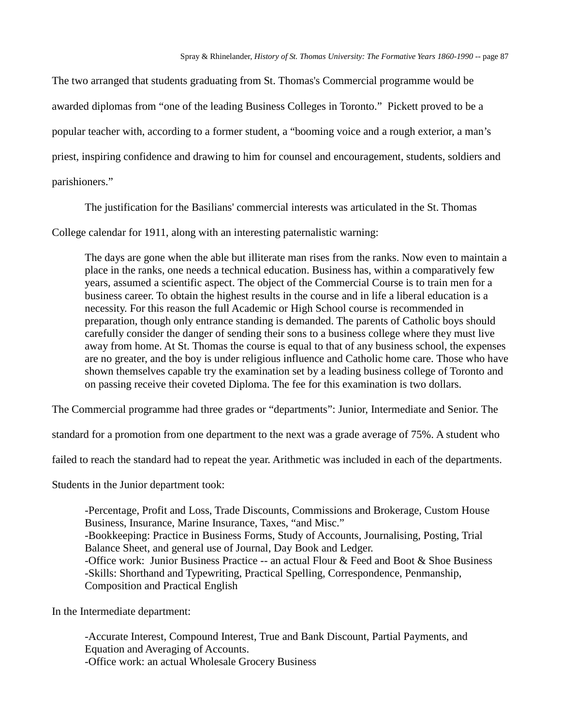The two arranged that students graduating from St. Thomas's Commercial programme would be awarded diplomas from "one of the leading Business Colleges in Toronto." Pickett proved to be a popular teacher with, according to a former student, a "booming voice and a rough exterior, a man's priest, inspiring confidence and drawing to him for counsel and encouragement, students, soldiers and parishioners."

The justification for the Basilians' commercial interests was articulated in the St. Thomas

College calendar for 1911, along with an interesting paternalistic warning:

The days are gone when the able but illiterate man rises from the ranks. Now even to maintain a place in the ranks, one needs a technical education. Business has, within a comparatively few years, assumed a scientific aspect. The object of the Commercial Course is to train men for a business career. To obtain the highest results in the course and in life a liberal education is a necessity. For this reason the full Academic or High School course is recommended in preparation, though only entrance standing is demanded. The parents of Catholic boys should carefully consider the danger of sending their sons to a business college where they must live away from home. At St. Thomas the course is equal to that of any business school, the expenses are no greater, and the boy is under religious influence and Catholic home care. Those who have shown themselves capable try the examination set by a leading business college of Toronto and on passing receive their coveted Diploma. The fee for this examination is two dollars.

The Commercial programme had three grades or "departments": Junior, Intermediate and Senior. The

standard for a promotion from one department to the next was a grade average of 75%. A student who

failed to reach the standard had to repeat the year. Arithmetic was included in each of the departments.

Students in the Junior department took:

-Percentage, Profit and Loss, Trade Discounts, Commissions and Brokerage, Custom House Business, Insurance, Marine Insurance, Taxes, "and Misc." -Bookkeeping: Practice in Business Forms, Study of Accounts, Journalising, Posting, Trial Balance Sheet, and general use of Journal, Day Book and Ledger. -Office work: Junior Business Practice -- an actual Flour & Feed and Boot & Shoe Business -Skills: Shorthand and Typewriting, Practical Spelling, Correspondence, Penmanship, Composition and Practical English

In the Intermediate department:

-Accurate Interest, Compound Interest, True and Bank Discount, Partial Payments, and Equation and Averaging of Accounts. -Office work: an actual Wholesale Grocery Business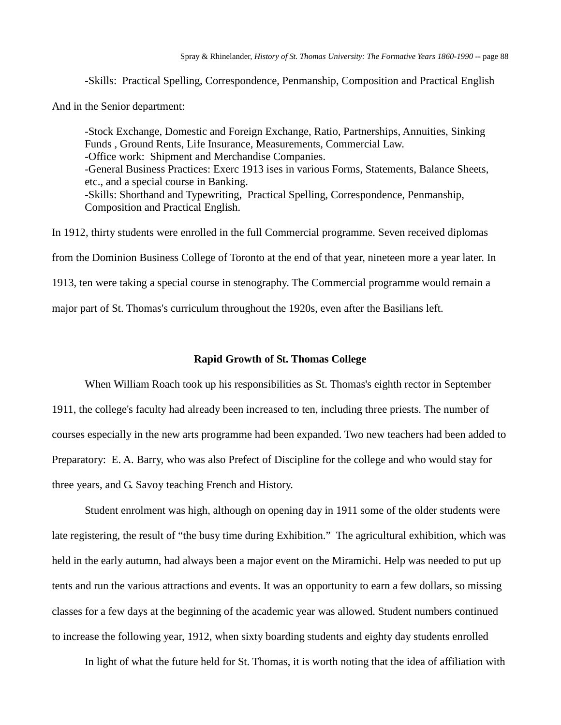-Skills: Practical Spelling, Correspondence, Penmanship, Composition and Practical English

And in the Senior department:

-Stock Exchange, Domestic and Foreign Exchange, Ratio, Partnerships, Annuities, Sinking Funds , Ground Rents, Life Insurance, Measurements, Commercial Law. -Office work: Shipment and Merchandise Companies. -General Business Practices: Exerc 1913 ises in various Forms, Statements, Balance Sheets, etc., and a special course in Banking. -Skills: Shorthand and Typewriting, Practical Spelling, Correspondence, Penmanship, Composition and Practical English.

In 1912, thirty students were enrolled in the full Commercial programme. Seven received diplomas from the Dominion Business College of Toronto at the end of that year, nineteen more a year later. In 1913, ten were taking a special course in stenography. The Commercial programme would remain a major part of St. Thomas's curriculum throughout the 1920s, even after the Basilians left.

#### **Rapid Growth of St. Thomas College**

When William Roach took up his responsibilities as St. Thomas's eighth rector in September 1911, the college's faculty had already been increased to ten, including three priests. The number of courses especially in the new arts programme had been expanded. Two new teachers had been added to Preparatory: E. A. Barry, who was also Prefect of Discipline for the college and who would stay for three years, and G. Savoy teaching French and History.

Student enrolment was high, although on opening day in 1911 some of the older students were late registering, the result of "the busy time during Exhibition." The agricultural exhibition, which was held in the early autumn, had always been a major event on the Miramichi. Help was needed to put up tents and run the various attractions and events. It was an opportunity to earn a few dollars, so missing classes for a few days at the beginning of the academic year was allowed. Student numbers continued to increase the following year, 1912, when sixty boarding students and eighty day students enrolled

In light of what the future held for St. Thomas, it is worth noting that the idea of affiliation with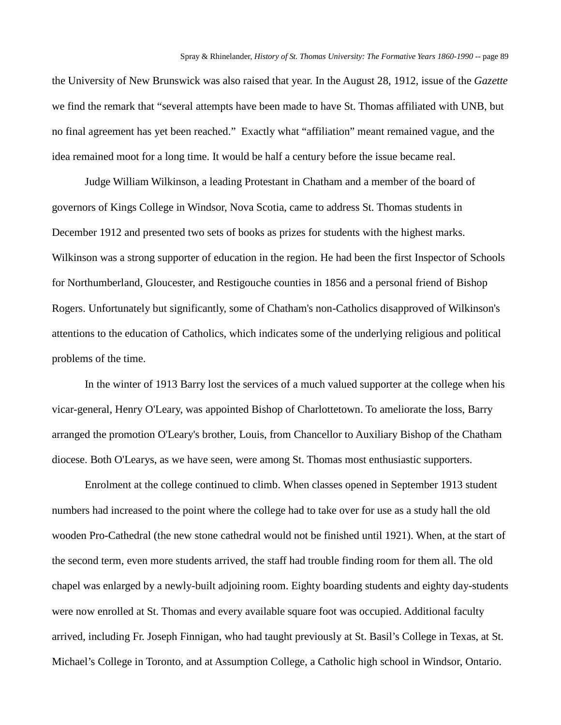the University of New Brunswick was also raised that year. In the August 28, 1912, issue of the *Gazette*  we find the remark that "several attempts have been made to have St. Thomas affiliated with UNB, but no final agreement has yet been reached." Exactly what "affiliation" meant remained vague, and the idea remained moot for a long time. It would be half a century before the issue became real.

Judge William Wilkinson, a leading Protestant in Chatham and a member of the board of governors of Kings College in Windsor, Nova Scotia, came to address St. Thomas students in December 1912 and presented two sets of books as prizes for students with the highest marks. Wilkinson was a strong supporter of education in the region. He had been the first Inspector of Schools for Northumberland, Gloucester, and Restigouche counties in 1856 and a personal friend of Bishop Rogers. Unfortunately but significantly, some of Chatham's non-Catholics disapproved of Wilkinson's attentions to the education of Catholics, which indicates some of the underlying religious and political problems of the time.

In the winter of 1913 Barry lost the services of a much valued supporter at the college when his vicar-general, Henry O'Leary, was appointed Bishop of Charlottetown. To ameliorate the loss, Barry arranged the promotion O'Leary's brother, Louis, from Chancellor to Auxiliary Bishop of the Chatham diocese. Both O'Learys, as we have seen, were among St. Thomas most enthusiastic supporters.

Enrolment at the college continued to climb. When classes opened in September 1913 student numbers had increased to the point where the college had to take over for use as a study hall the old wooden Pro-Cathedral (the new stone cathedral would not be finished until 1921). When, at the start of the second term, even more students arrived, the staff had trouble finding room for them all. The old chapel was enlarged by a newly-built adjoining room. Eighty boarding students and eighty day-students were now enrolled at St. Thomas and every available square foot was occupied. Additional faculty arrived, including Fr. Joseph Finnigan, who had taught previously at St. Basil's College in Texas, at St. Michael's College in Toronto, and at Assumption College, a Catholic high school in Windsor, Ontario.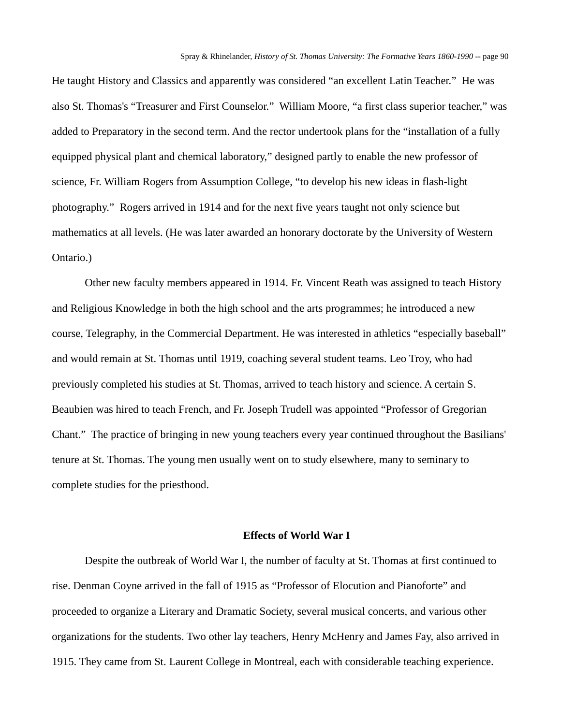He taught History and Classics and apparently was considered "an excellent Latin Teacher." He was also St. Thomas's "Treasurer and First Counselor." William Moore, "a first class superior teacher," was added to Preparatory in the second term. And the rector undertook plans for the "installation of a fully equipped physical plant and chemical laboratory," designed partly to enable the new professor of science, Fr. William Rogers from Assumption College, "to develop his new ideas in flash-light photography." Rogers arrived in 1914 and for the next five years taught not only science but mathematics at all levels. (He was later awarded an honorary doctorate by the University of Western Ontario.)

Other new faculty members appeared in 1914. Fr. Vincent Reath was assigned to teach History and Religious Knowledge in both the high school and the arts programmes; he introduced a new course, Telegraphy, in the Commercial Department. He was interested in athletics "especially baseball" and would remain at St. Thomas until 1919, coaching several student teams. Leo Troy, who had previously completed his studies at St. Thomas, arrived to teach history and science. A certain S. Beaubien was hired to teach French, and Fr. Joseph Trudell was appointed "Professor of Gregorian Chant." The practice of bringing in new young teachers every year continued throughout the Basilians' tenure at St. Thomas. The young men usually went on to study elsewhere, many to seminary to complete studies for the priesthood.

### **Effects of World War I**

Despite the outbreak of World War I, the number of faculty at St. Thomas at first continued to rise. Denman Coyne arrived in the fall of 1915 as "Professor of Elocution and Pianoforte" and proceeded to organize a Literary and Dramatic Society, several musical concerts, and various other organizations for the students. Two other lay teachers, Henry McHenry and James Fay, also arrived in 1915. They came from St. Laurent College in Montreal, each with considerable teaching experience.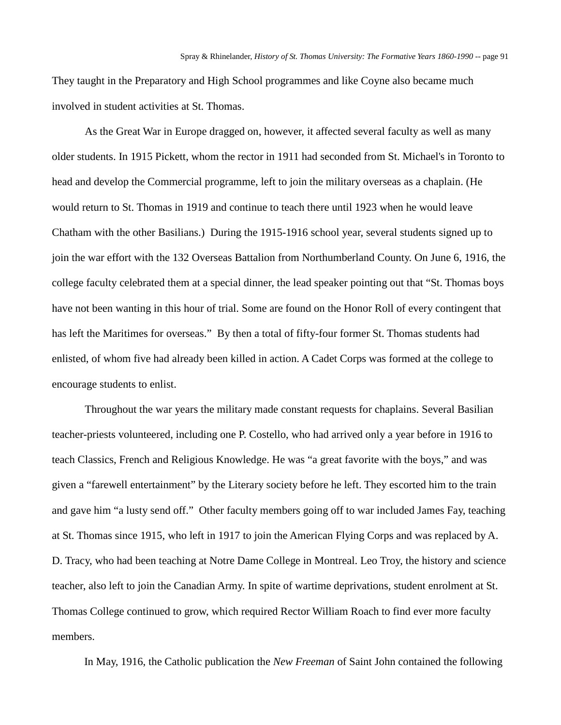They taught in the Preparatory and High School programmes and like Coyne also became much involved in student activities at St. Thomas.

As the Great War in Europe dragged on, however, it affected several faculty as well as many older students. In 1915 Pickett, whom the rector in 1911 had seconded from St. Michael's in Toronto to head and develop the Commercial programme, left to join the military overseas as a chaplain. (He would return to St. Thomas in 1919 and continue to teach there until 1923 when he would leave Chatham with the other Basilians.) During the 1915-1916 school year, several students signed up to join the war effort with the 132 Overseas Battalion from Northumberland County. On June 6, 1916, the college faculty celebrated them at a special dinner, the lead speaker pointing out that "St. Thomas boys have not been wanting in this hour of trial. Some are found on the Honor Roll of every contingent that has left the Maritimes for overseas." By then a total of fifty-four former St. Thomas students had enlisted, of whom five had already been killed in action. A Cadet Corps was formed at the college to encourage students to enlist.

Throughout the war years the military made constant requests for chaplains. Several Basilian teacher-priests volunteered, including one P. Costello, who had arrived only a year before in 1916 to teach Classics, French and Religious Knowledge. He was "a great favorite with the boys," and was given a "farewell entertainment" by the Literary society before he left. They escorted him to the train and gave him "a lusty send off." Other faculty members going off to war included James Fay, teaching at St. Thomas since 1915, who left in 1917 to join the American Flying Corps and was replaced by A. D. Tracy, who had been teaching at Notre Dame College in Montreal. Leo Troy, the history and science teacher, also left to join the Canadian Army. In spite of wartime deprivations, student enrolment at St. Thomas College continued to grow, which required Rector William Roach to find ever more faculty members.

In May, 1916, the Catholic publication the *New Freeman* of Saint John contained the following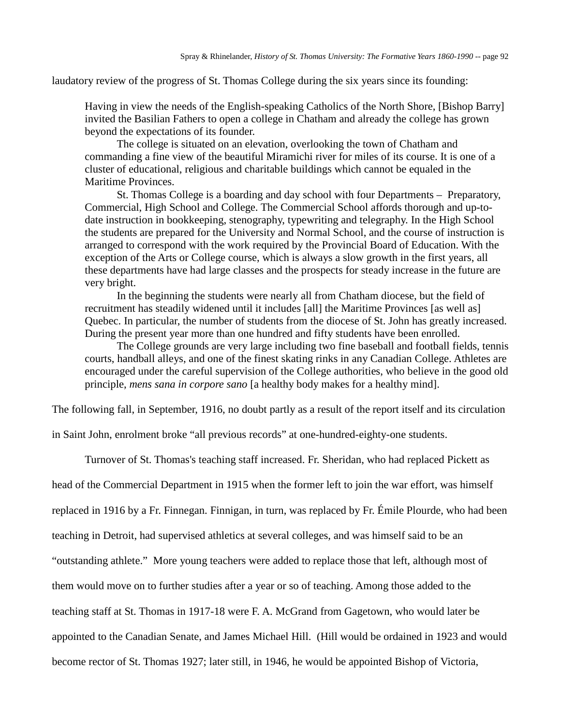laudatory review of the progress of St. Thomas College during the six years since its founding:

Having in view the needs of the English-speaking Catholics of the North Shore, [Bishop Barry] invited the Basilian Fathers to open a college in Chatham and already the college has grown beyond the expectations of its founder.

The college is situated on an elevation, overlooking the town of Chatham and commanding a fine view of the beautiful Miramichi river for miles of its course. It is one of a cluster of educational, religious and charitable buildings which cannot be equaled in the Maritime Provinces.

St. Thomas College is a boarding and day school with four Departments – Preparatory, Commercial, High School and College. The Commercial School affords thorough and up-todate instruction in bookkeeping, stenography, typewriting and telegraphy. In the High School the students are prepared for the University and Normal School, and the course of instruction is arranged to correspond with the work required by the Provincial Board of Education. With the exception of the Arts or College course, which is always a slow growth in the first years, all these departments have had large classes and the prospects for steady increase in the future are very bright.

In the beginning the students were nearly all from Chatham diocese, but the field of recruitment has steadily widened until it includes [all] the Maritime Provinces [as well as] Quebec. In particular, the number of students from the diocese of St. John has greatly increased. During the present year more than one hundred and fifty students have been enrolled.

The College grounds are very large including two fine baseball and football fields, tennis courts, handball alleys, and one of the finest skating rinks in any Canadian College. Athletes are encouraged under the careful supervision of the College authorities, who believe in the good old principle, *mens sana in corpore sano* [a healthy body makes for a healthy mind].

The following fall, in September, 1916, no doubt partly as a result of the report itself and its circulation

in Saint John, enrolment broke "all previous records" at one-hundred-eighty-one students.

Turnover of St. Thomas's teaching staff increased. Fr. Sheridan, who had replaced Pickett as

head of the Commercial Department in 1915 when the former left to join the war effort, was himself

replaced in 1916 by a Fr. Finnegan. Finnigan, in turn, was replaced by Fr. Émile Plourde, who had been

teaching in Detroit, had supervised athletics at several colleges, and was himself said to be an

"outstanding athlete." More young teachers were added to replace those that left, although most of

them would move on to further studies after a year or so of teaching. Among those added to the

teaching staff at St. Thomas in 1917-18 were F. A. McGrand from Gagetown, who would later be

appointed to the Canadian Senate, and James Michael Hill. (Hill would be ordained in 1923 and would

become rector of St. Thomas 1927; later still, in 1946, he would be appointed Bishop of Victoria,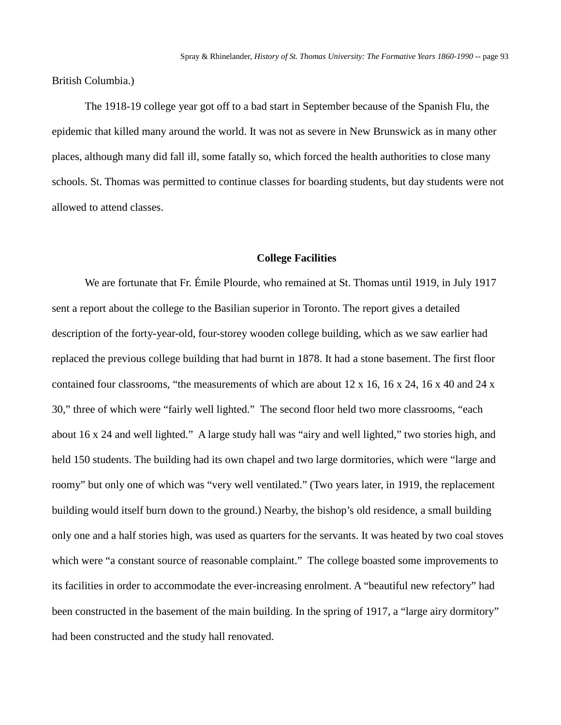British Columbia.)

The 1918-19 college year got off to a bad start in September because of the Spanish Flu, the epidemic that killed many around the world. It was not as severe in New Brunswick as in many other places, although many did fall ill, some fatally so, which forced the health authorities to close many schools. St. Thomas was permitted to continue classes for boarding students, but day students were not allowed to attend classes.

### **College Facilities**

We are fortunate that Fr. Émile Plourde, who remained at St. Thomas until 1919, in July 1917 sent a report about the college to the Basilian superior in Toronto. The report gives a detailed description of the forty-year-old, four-storey wooden college building, which as we saw earlier had replaced the previous college building that had burnt in 1878. It had a stone basement. The first floor contained four classrooms, "the measurements of which are about 12 x 16, 16 x 24, 16 x 40 and 24 x 30," three of which were "fairly well lighted." The second floor held two more classrooms, "each about 16 x 24 and well lighted." A large study hall was "airy and well lighted," two stories high, and held 150 students. The building had its own chapel and two large dormitories, which were "large and roomy" but only one of which was "very well ventilated." (Two years later, in 1919, the replacement building would itself burn down to the ground.) Nearby, the bishop's old residence, a small building only one and a half stories high, was used as quarters for the servants. It was heated by two coal stoves which were "a constant source of reasonable complaint." The college boasted some improvements to its facilities in order to accommodate the ever-increasing enrolment. A "beautiful new refectory" had been constructed in the basement of the main building. In the spring of 1917, a "large airy dormitory" had been constructed and the study hall renovated.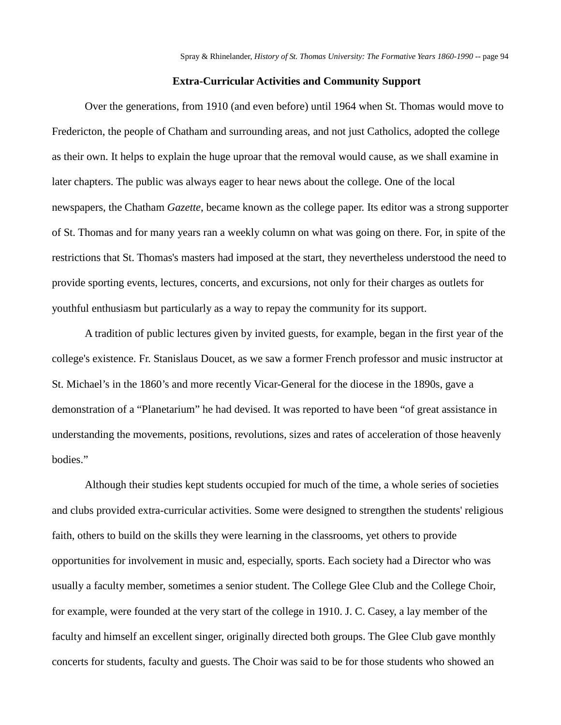### **Extra-Curricular Activities and Community Support**

Over the generations, from 1910 (and even before) until 1964 when St. Thomas would move to Fredericton, the people of Chatham and surrounding areas, and not just Catholics, adopted the college as their own. It helps to explain the huge uproar that the removal would cause, as we shall examine in later chapters. The public was always eager to hear news about the college. One of the local newspapers, the Chatham *Gazette*, became known as the college paper. Its editor was a strong supporter of St. Thomas and for many years ran a weekly column on what was going on there. For, in spite of the restrictions that St. Thomas's masters had imposed at the start, they nevertheless understood the need to provide sporting events, lectures, concerts, and excursions, not only for their charges as outlets for youthful enthusiasm but particularly as a way to repay the community for its support.

A tradition of public lectures given by invited guests, for example, began in the first year of the college's existence. Fr. Stanislaus Doucet, as we saw a former French professor and music instructor at St. Michael's in the 1860's and more recently Vicar-General for the diocese in the 1890s, gave a demonstration of a "Planetarium" he had devised. It was reported to have been "of great assistance in understanding the movements, positions, revolutions, sizes and rates of acceleration of those heavenly bodies."

Although their studies kept students occupied for much of the time, a whole series of societies and clubs provided extra-curricular activities. Some were designed to strengthen the students' religious faith, others to build on the skills they were learning in the classrooms, yet others to provide opportunities for involvement in music and, especially, sports. Each society had a Director who was usually a faculty member, sometimes a senior student. The College Glee Club and the College Choir, for example, were founded at the very start of the college in 1910. J. C. Casey, a lay member of the faculty and himself an excellent singer, originally directed both groups. The Glee Club gave monthly concerts for students, faculty and guests. The Choir was said to be for those students who showed an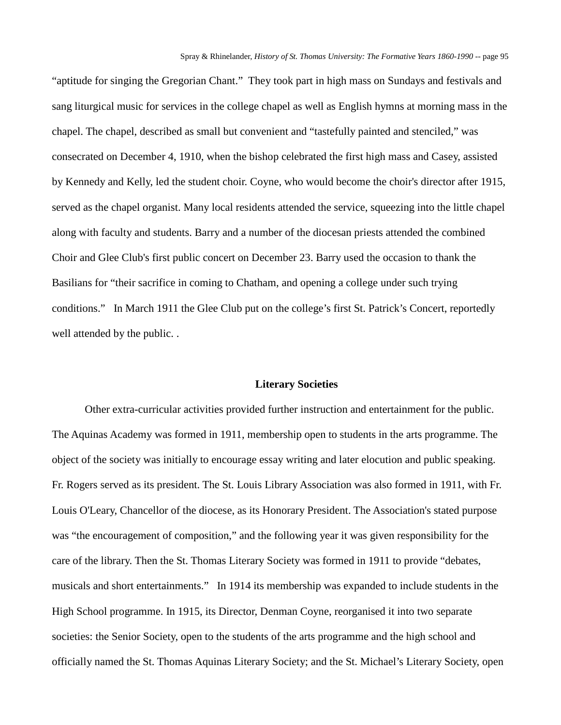"aptitude for singing the Gregorian Chant." They took part in high mass on Sundays and festivals and sang liturgical music for services in the college chapel as well as English hymns at morning mass in the chapel. The chapel, described as small but convenient and "tastefully painted and stenciled," was consecrated on December 4, 1910, when the bishop celebrated the first high mass and Casey, assisted by Kennedy and Kelly, led the student choir. Coyne, who would become the choir's director after 1915, served as the chapel organist. Many local residents attended the service, squeezing into the little chapel along with faculty and students. Barry and a number of the diocesan priests attended the combined Choir and Glee Club's first public concert on December 23. Barry used the occasion to thank the Basilians for "their sacrifice in coming to Chatham, and opening a college under such trying conditions." In March 1911 the Glee Club put on the college's first St. Patrick's Concert, reportedly well attended by the public. .

#### **Literary Societies**

Other extra-curricular activities provided further instruction and entertainment for the public. The Aquinas Academy was formed in 1911, membership open to students in the arts programme. The object of the society was initially to encourage essay writing and later elocution and public speaking. Fr. Rogers served as its president. The St. Louis Library Association was also formed in 1911, with Fr. Louis O'Leary, Chancellor of the diocese, as its Honorary President. The Association's stated purpose was "the encouragement of composition," and the following year it was given responsibility for the care of the library. Then the St. Thomas Literary Society was formed in 1911 to provide "debates, musicals and short entertainments." In 1914 its membership was expanded to include students in the High School programme. In 1915, its Director, Denman Coyne, reorganised it into two separate societies: the Senior Society, open to the students of the arts programme and the high school and officially named the St. Thomas Aquinas Literary Society; and the St. Michael's Literary Society, open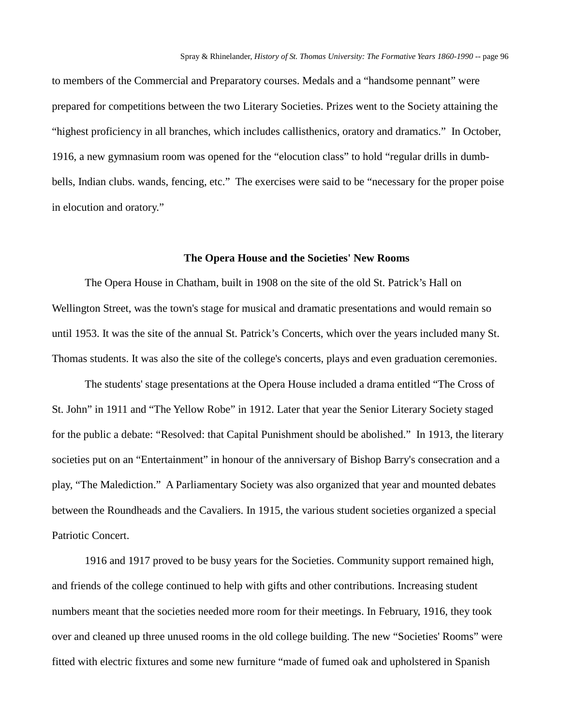to members of the Commercial and Preparatory courses. Medals and a "handsome pennant" were prepared for competitions between the two Literary Societies. Prizes went to the Society attaining the "highest proficiency in all branches, which includes callisthenics, oratory and dramatics." In October, 1916, a new gymnasium room was opened for the "elocution class" to hold "regular drills in dumbbells, Indian clubs. wands, fencing, etc." The exercises were said to be "necessary for the proper poise in elocution and oratory."

#### **The Opera House and the Societies' New Rooms**

The Opera House in Chatham, built in 1908 on the site of the old St. Patrick's Hall on Wellington Street, was the town's stage for musical and dramatic presentations and would remain so until 1953. It was the site of the annual St. Patrick's Concerts, which over the years included many St. Thomas students. It was also the site of the college's concerts, plays and even graduation ceremonies.

The students' stage presentations at the Opera House included a drama entitled "The Cross of St. John" in 1911 and "The Yellow Robe" in 1912. Later that year the Senior Literary Society staged for the public a debate: "Resolved: that Capital Punishment should be abolished." In 1913, the literary societies put on an "Entertainment" in honour of the anniversary of Bishop Barry's consecration and a play, "The Malediction." A Parliamentary Society was also organized that year and mounted debates between the Roundheads and the Cavaliers. In 1915, the various student societies organized a special Patriotic Concert.

1916 and 1917 proved to be busy years for the Societies. Community support remained high, and friends of the college continued to help with gifts and other contributions. Increasing student numbers meant that the societies needed more room for their meetings. In February, 1916, they took over and cleaned up three unused rooms in the old college building. The new "Societies' Rooms" were fitted with electric fixtures and some new furniture "made of fumed oak and upholstered in Spanish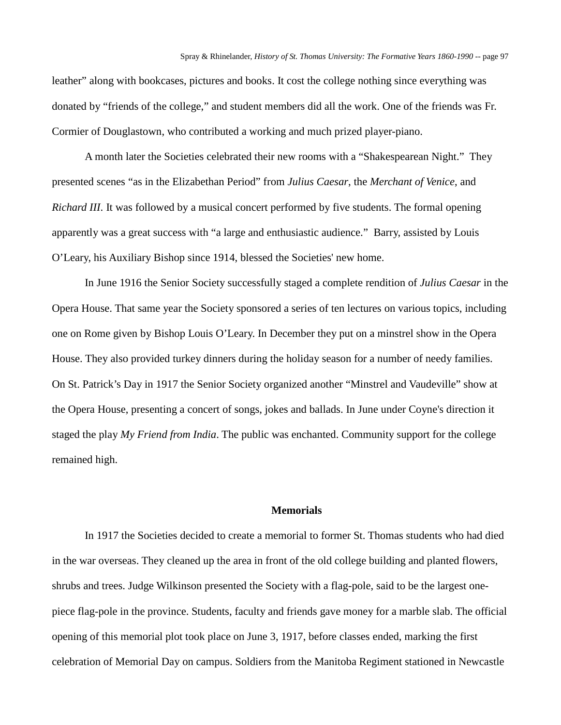leather" along with bookcases, pictures and books. It cost the college nothing since everything was donated by "friends of the college," and student members did all the work. One of the friends was Fr. Cormier of Douglastown, who contributed a working and much prized player-piano.

A month later the Societies celebrated their new rooms with a "Shakespearean Night." They presented scenes "as in the Elizabethan Period" from *Julius Caesar*, the *Merchant of Venice*, and *Richard III*. It was followed by a musical concert performed by five students. The formal opening apparently was a great success with "a large and enthusiastic audience." Barry, assisted by Louis O'Leary, his Auxiliary Bishop since 1914, blessed the Societies' new home.

In June 1916 the Senior Society successfully staged a complete rendition of *Julius Caesar* in the Opera House. That same year the Society sponsored a series of ten lectures on various topics, including one on Rome given by Bishop Louis O'Leary. In December they put on a minstrel show in the Opera House. They also provided turkey dinners during the holiday season for a number of needy families. On St. Patrick's Day in 1917 the Senior Society organized another "Minstrel and Vaudeville" show at the Opera House, presenting a concert of songs, jokes and ballads. In June under Coyne's direction it staged the play *My Friend from India*. The public was enchanted. Community support for the college remained high.

# **Memorials**

In 1917 the Societies decided to create a memorial to former St. Thomas students who had died in the war overseas. They cleaned up the area in front of the old college building and planted flowers, shrubs and trees. Judge Wilkinson presented the Society with a flag-pole, said to be the largest onepiece flag-pole in the province. Students, faculty and friends gave money for a marble slab. The official opening of this memorial plot took place on June 3, 1917, before classes ended, marking the first celebration of Memorial Day on campus. Soldiers from the Manitoba Regiment stationed in Newcastle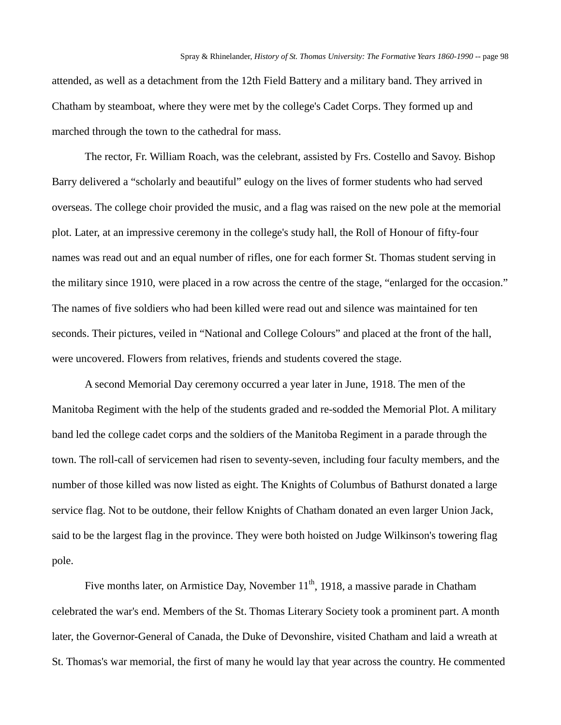attended, as well as a detachment from the 12th Field Battery and a military band. They arrived in Chatham by steamboat, where they were met by the college's Cadet Corps. They formed up and marched through the town to the cathedral for mass.

The rector, Fr. William Roach, was the celebrant, assisted by Frs. Costello and Savoy. Bishop Barry delivered a "scholarly and beautiful" eulogy on the lives of former students who had served overseas. The college choir provided the music, and a flag was raised on the new pole at the memorial plot. Later, at an impressive ceremony in the college's study hall, the Roll of Honour of fifty-four names was read out and an equal number of rifles, one for each former St. Thomas student serving in the military since 1910, were placed in a row across the centre of the stage, "enlarged for the occasion." The names of five soldiers who had been killed were read out and silence was maintained for ten seconds. Their pictures, veiled in "National and College Colours" and placed at the front of the hall, were uncovered. Flowers from relatives, friends and students covered the stage.

A second Memorial Day ceremony occurred a year later in June, 1918. The men of the Manitoba Regiment with the help of the students graded and re-sodded the Memorial Plot. A military band led the college cadet corps and the soldiers of the Manitoba Regiment in a parade through the town. The roll-call of servicemen had risen to seventy-seven, including four faculty members, and the number of those killed was now listed as eight. The Knights of Columbus of Bathurst donated a large service flag. Not to be outdone, their fellow Knights of Chatham donated an even larger Union Jack, said to be the largest flag in the province. They were both hoisted on Judge Wilkinson's towering flag pole.

Five months later, on Armistice Day, November  $11<sup>th</sup>$ , 1918, a massive parade in Chatham celebrated the war's end. Members of the St. Thomas Literary Society took a prominent part. A month later, the Governor-General of Canada, the Duke of Devonshire, visited Chatham and laid a wreath at St. Thomas's war memorial, the first of many he would lay that year across the country. He commented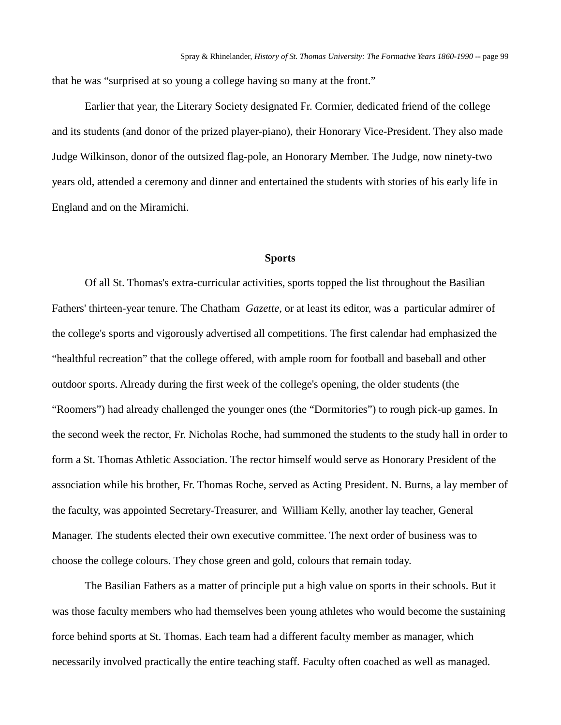that he was "surprised at so young a college having so many at the front."

Earlier that year, the Literary Society designated Fr. Cormier, dedicated friend of the college and its students (and donor of the prized player-piano), their Honorary Vice-President. They also made Judge Wilkinson, donor of the outsized flag-pole, an Honorary Member. The Judge, now ninety-two years old, attended a ceremony and dinner and entertained the students with stories of his early life in England and on the Miramichi.

### **Sports**

Of all St. Thomas's extra-curricular activities, sports topped the list throughout the Basilian Fathers' thirteen-year tenure. The Chatham *Gazette*, or at least its editor, was a particular admirer of the college's sports and vigorously advertised all competitions. The first calendar had emphasized the "healthful recreation" that the college offered, with ample room for football and baseball and other outdoor sports. Already during the first week of the college's opening, the older students (the "Roomers") had already challenged the younger ones (the "Dormitories") to rough pick-up games. In the second week the rector, Fr. Nicholas Roche, had summoned the students to the study hall in order to form a St. Thomas Athletic Association. The rector himself would serve as Honorary President of the association while his brother, Fr. Thomas Roche, served as Acting President. N. Burns, a lay member of the faculty, was appointed Secretary-Treasurer, and William Kelly, another lay teacher, General Manager. The students elected their own executive committee. The next order of business was to choose the college colours. They chose green and gold, colours that remain today.

The Basilian Fathers as a matter of principle put a high value on sports in their schools. But it was those faculty members who had themselves been young athletes who would become the sustaining force behind sports at St. Thomas. Each team had a different faculty member as manager, which necessarily involved practically the entire teaching staff. Faculty often coached as well as managed.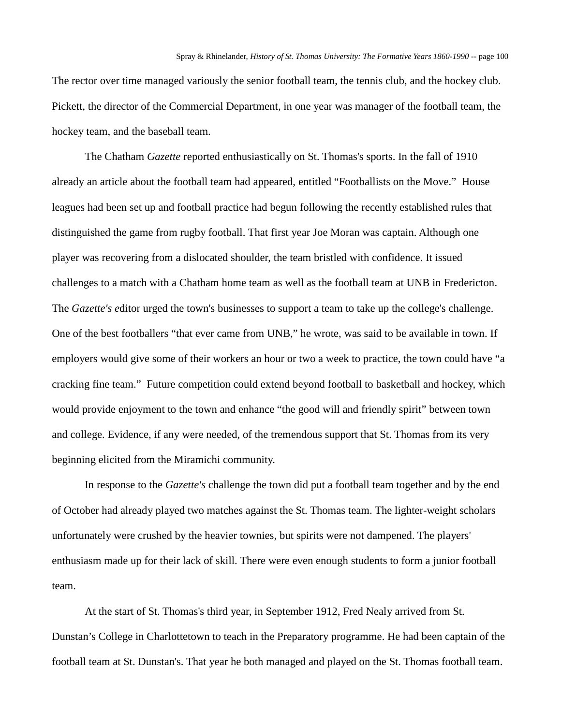The rector over time managed variously the senior football team, the tennis club, and the hockey club. Pickett, the director of the Commercial Department, in one year was manager of the football team, the hockey team, and the baseball team.

The Chatham *Gazette* reported enthusiastically on St. Thomas's sports. In the fall of 1910 already an article about the football team had appeared, entitled "Footballists on the Move." House leagues had been set up and football practice had begun following the recently established rules that distinguished the game from rugby football. That first year Joe Moran was captain. Although one player was recovering from a dislocated shoulder, the team bristled with confidence. It issued challenges to a match with a Chatham home team as well as the football team at UNB in Fredericton. The *Gazette's e*ditor urged the town's businesses to support a team to take up the college's challenge. One of the best footballers "that ever came from UNB," he wrote, was said to be available in town. If employers would give some of their workers an hour or two a week to practice, the town could have "a cracking fine team." Future competition could extend beyond football to basketball and hockey, which would provide enjoyment to the town and enhance "the good will and friendly spirit" between town and college. Evidence, if any were needed, of the tremendous support that St. Thomas from its very beginning elicited from the Miramichi community.

In response to the *Gazette's* challenge the town did put a football team together and by the end of October had already played two matches against the St. Thomas team. The lighter-weight scholars unfortunately were crushed by the heavier townies, but spirits were not dampened. The players' enthusiasm made up for their lack of skill. There were even enough students to form a junior football team.

At the start of St. Thomas's third year, in September 1912, Fred Nealy arrived from St. Dunstan's College in Charlottetown to teach in the Preparatory programme. He had been captain of the football team at St. Dunstan's. That year he both managed and played on the St. Thomas football team.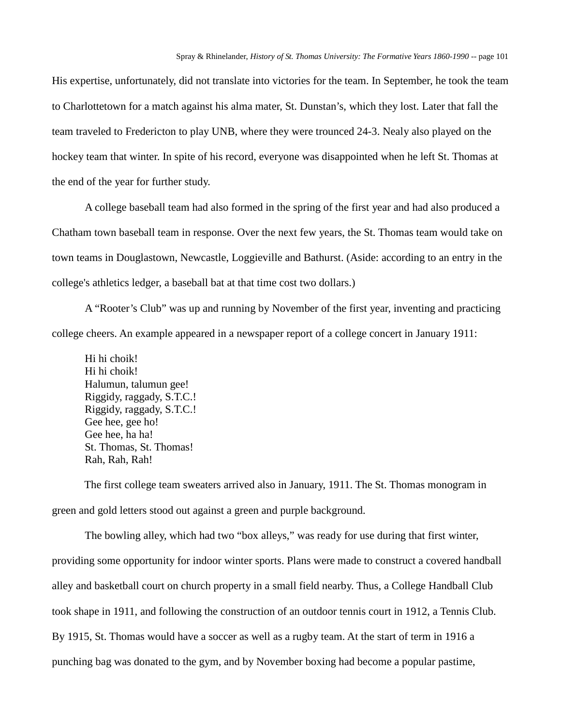His expertise, unfortunately, did not translate into victories for the team. In September, he took the team to Charlottetown for a match against his alma mater, St. Dunstan's, which they lost. Later that fall the team traveled to Fredericton to play UNB, where they were trounced 24-3. Nealy also played on the hockey team that winter. In spite of his record, everyone was disappointed when he left St. Thomas at the end of the year for further study.

A college baseball team had also formed in the spring of the first year and had also produced a Chatham town baseball team in response. Over the next few years, the St. Thomas team would take on town teams in Douglastown, Newcastle, Loggieville and Bathurst. (Aside: according to an entry in the college's athletics ledger, a baseball bat at that time cost two dollars.)

A "Rooter's Club" was up and running by November of the first year, inventing and practicing college cheers. An example appeared in a newspaper report of a college concert in January 1911:

Hi hi choik! Hi hi choik! Halumun, talumun gee! Riggidy, raggady, S.T.C.! Riggidy, raggady, S.T.C.! Gee hee, gee ho! Gee hee, ha ha! St. Thomas, St. Thomas! Rah, Rah, Rah!

The first college team sweaters arrived also in January, 1911. The St. Thomas monogram in green and gold letters stood out against a green and purple background.

The bowling alley, which had two "box alleys," was ready for use during that first winter, providing some opportunity for indoor winter sports. Plans were made to construct a covered handball alley and basketball court on church property in a small field nearby. Thus, a College Handball Club took shape in 1911, and following the construction of an outdoor tennis court in 1912, a Tennis Club. By 1915, St. Thomas would have a soccer as well as a rugby team. At the start of term in 1916 a punching bag was donated to the gym, and by November boxing had become a popular pastime,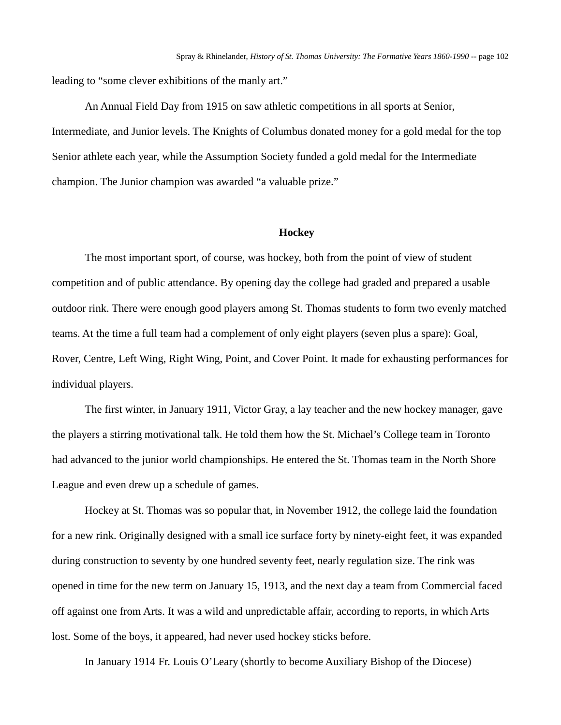leading to "some clever exhibitions of the manly art."

An Annual Field Day from 1915 on saw athletic competitions in all sports at Senior, Intermediate, and Junior levels. The Knights of Columbus donated money for a gold medal for the top Senior athlete each year, while the Assumption Society funded a gold medal for the Intermediate champion. The Junior champion was awarded "a valuable prize."

#### **Hockey**

The most important sport, of course, was hockey, both from the point of view of student competition and of public attendance. By opening day the college had graded and prepared a usable outdoor rink. There were enough good players among St. Thomas students to form two evenly matched teams. At the time a full team had a complement of only eight players (seven plus a spare): Goal, Rover, Centre, Left Wing, Right Wing, Point, and Cover Point. It made for exhausting performances for individual players.

The first winter, in January 1911, Victor Gray, a lay teacher and the new hockey manager, gave the players a stirring motivational talk. He told them how the St. Michael's College team in Toronto had advanced to the junior world championships. He entered the St. Thomas team in the North Shore League and even drew up a schedule of games.

Hockey at St. Thomas was so popular that, in November 1912, the college laid the foundation for a new rink. Originally designed with a small ice surface forty by ninety-eight feet, it was expanded during construction to seventy by one hundred seventy feet, nearly regulation size. The rink was opened in time for the new term on January 15, 1913, and the next day a team from Commercial faced off against one from Arts. It was a wild and unpredictable affair, according to reports, in which Arts lost. Some of the boys, it appeared, had never used hockey sticks before.

In January 1914 Fr. Louis O'Leary (shortly to become Auxiliary Bishop of the Diocese)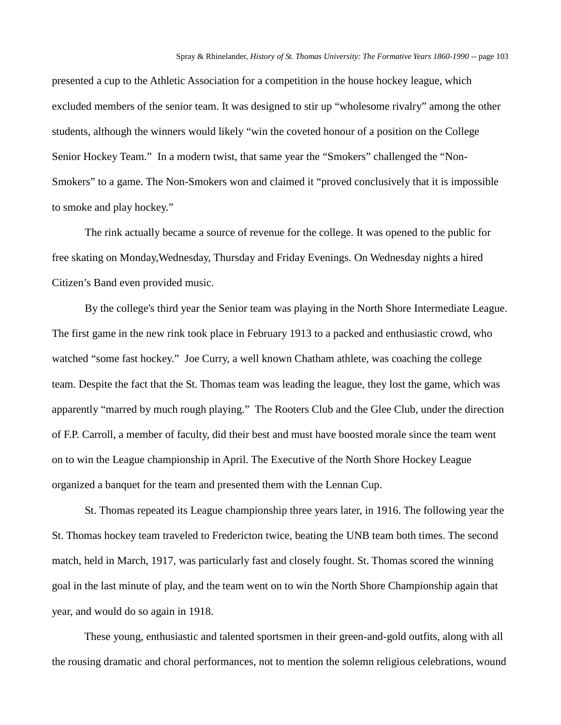presented a cup to the Athletic Association for a competition in the house hockey league, which excluded members of the senior team. It was designed to stir up "wholesome rivalry" among the other students, although the winners would likely "win the coveted honour of a position on the College Senior Hockey Team." In a modern twist, that same year the "Smokers" challenged the "Non-Smokers" to a game. The Non-Smokers won and claimed it "proved conclusively that it is impossible to smoke and play hockey."

The rink actually became a source of revenue for the college. It was opened to the public for free skating on Monday,Wednesday, Thursday and Friday Evenings. On Wednesday nights a hired Citizen's Band even provided music.

By the college's third year the Senior team was playing in the North Shore Intermediate League. The first game in the new rink took place in February 1913 to a packed and enthusiastic crowd, who watched "some fast hockey." Joe Curry, a well known Chatham athlete, was coaching the college team. Despite the fact that the St. Thomas team was leading the league, they lost the game, which was apparently "marred by much rough playing." The Rooters Club and the Glee Club, under the direction of F.P. Carroll, a member of faculty, did their best and must have boosted morale since the team went on to win the League championship in April. The Executive of the North Shore Hockey League organized a banquet for the team and presented them with the Lennan Cup.

St. Thomas repeated its League championship three years later, in 1916. The following year the St. Thomas hockey team traveled to Fredericton twice, beating the UNB team both times. The second match, held in March, 1917, was particularly fast and closely fought. St. Thomas scored the winning goal in the last minute of play, and the team went on to win the North Shore Championship again that year, and would do so again in 1918.

These young, enthusiastic and talented sportsmen in their green-and-gold outfits, along with all the rousing dramatic and choral performances, not to mention the solemn religious celebrations, wound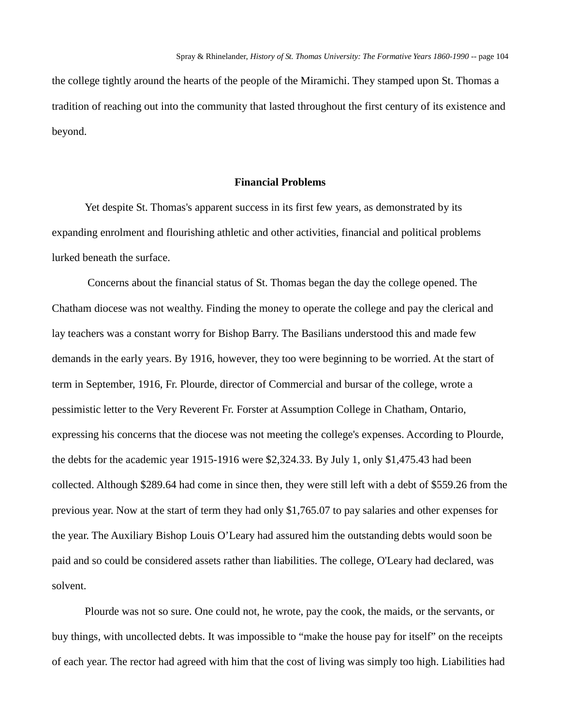the college tightly around the hearts of the people of the Miramichi. They stamped upon St. Thomas a tradition of reaching out into the community that lasted throughout the first century of its existence and beyond.

# **Financial Problems**

Yet despite St. Thomas's apparent success in its first few years, as demonstrated by its expanding enrolment and flourishing athletic and other activities, financial and political problems lurked beneath the surface.

Concerns about the financial status of St. Thomas began the day the college opened. The Chatham diocese was not wealthy. Finding the money to operate the college and pay the clerical and lay teachers was a constant worry for Bishop Barry. The Basilians understood this and made few demands in the early years. By 1916, however, they too were beginning to be worried. At the start of term in September, 1916, Fr. Plourde, director of Commercial and bursar of the college, wrote a pessimistic letter to the Very Reverent Fr. Forster at Assumption College in Chatham, Ontario, expressing his concerns that the diocese was not meeting the college's expenses. According to Plourde, the debts for the academic year 1915-1916 were \$2,324.33. By July 1, only \$1,475.43 had been collected. Although \$289.64 had come in since then, they were still left with a debt of \$559.26 from the previous year. Now at the start of term they had only \$1,765.07 to pay salaries and other expenses for the year. The Auxiliary Bishop Louis O'Leary had assured him the outstanding debts would soon be paid and so could be considered assets rather than liabilities. The college, O'Leary had declared, was solvent.

Plourde was not so sure. One could not, he wrote, pay the cook, the maids, or the servants, or buy things, with uncollected debts. It was impossible to "make the house pay for itself" on the receipts of each year. The rector had agreed with him that the cost of living was simply too high. Liabilities had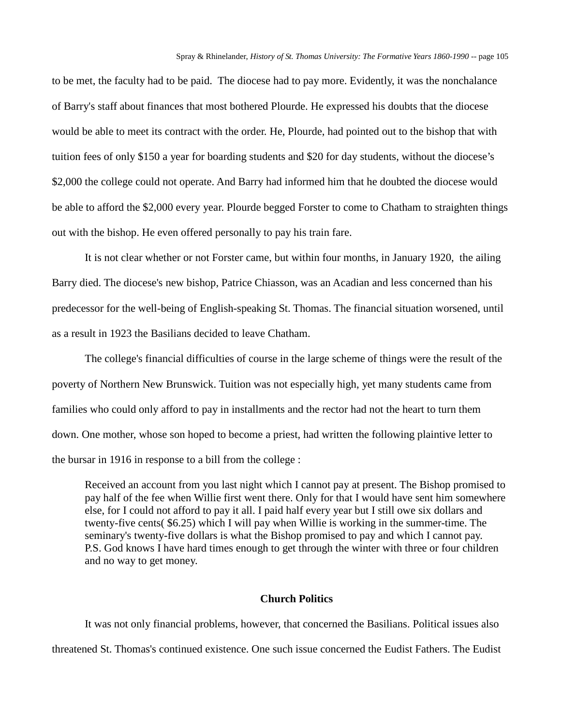to be met, the faculty had to be paid. The diocese had to pay more. Evidently, it was the nonchalance of Barry's staff about finances that most bothered Plourde. He expressed his doubts that the diocese would be able to meet its contract with the order. He, Plourde, had pointed out to the bishop that with tuition fees of only \$150 a year for boarding students and \$20 for day students, without the diocese's \$2,000 the college could not operate. And Barry had informed him that he doubted the diocese would be able to afford the \$2,000 every year. Plourde begged Forster to come to Chatham to straighten things out with the bishop. He even offered personally to pay his train fare.

It is not clear whether or not Forster came, but within four months, in January 1920, the ailing Barry died. The diocese's new bishop, Patrice Chiasson, was an Acadian and less concerned than his predecessor for the well-being of English-speaking St. Thomas. The financial situation worsened, until as a result in 1923 the Basilians decided to leave Chatham.

The college's financial difficulties of course in the large scheme of things were the result of the poverty of Northern New Brunswick. Tuition was not especially high, yet many students came from families who could only afford to pay in installments and the rector had not the heart to turn them down. One mother, whose son hoped to become a priest, had written the following plaintive letter to the bursar in 1916 in response to a bill from the college :

Received an account from you last night which I cannot pay at present. The Bishop promised to pay half of the fee when Willie first went there. Only for that I would have sent him somewhere else, for I could not afford to pay it all. I paid half every year but I still owe six dollars and twenty-five cents( \$6.25) which I will pay when Willie is working in the summer-time. The seminary's twenty-five dollars is what the Bishop promised to pay and which I cannot pay. P.S. God knows I have hard times enough to get through the winter with three or four children and no way to get money.

# **Church Politics**

It was not only financial problems, however, that concerned the Basilians. Political issues also threatened St. Thomas's continued existence. One such issue concerned the Eudist Fathers. The Eudist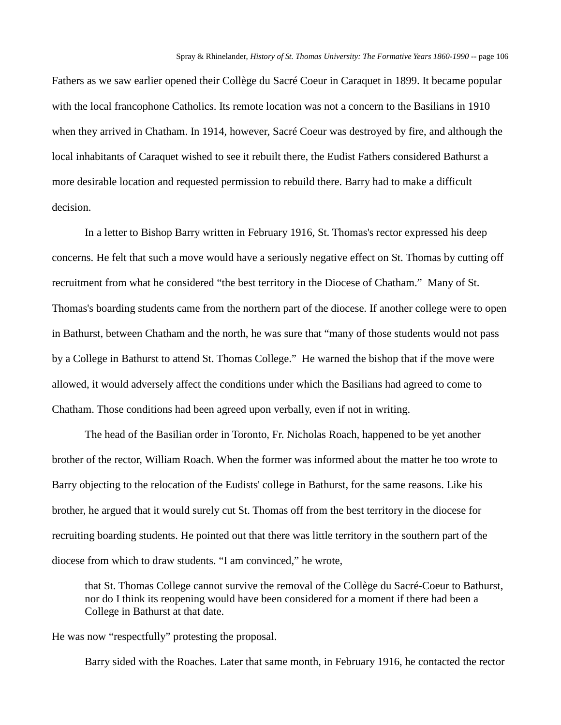Fathers as we saw earlier opened their Collège du Sacré Coeur in Caraquet in 1899. It became popular with the local francophone Catholics. Its remote location was not a concern to the Basilians in 1910 when they arrived in Chatham. In 1914, however, Sacré Coeur was destroyed by fire, and although the local inhabitants of Caraquet wished to see it rebuilt there, the Eudist Fathers considered Bathurst a more desirable location and requested permission to rebuild there. Barry had to make a difficult decision.

In a letter to Bishop Barry written in February 1916, St. Thomas's rector expressed his deep concerns. He felt that such a move would have a seriously negative effect on St. Thomas by cutting off recruitment from what he considered "the best territory in the Diocese of Chatham." Many of St. Thomas's boarding students came from the northern part of the diocese. If another college were to open in Bathurst, between Chatham and the north, he was sure that "many of those students would not pass by a College in Bathurst to attend St. Thomas College." He warned the bishop that if the move were allowed, it would adversely affect the conditions under which the Basilians had agreed to come to Chatham. Those conditions had been agreed upon verbally, even if not in writing.

The head of the Basilian order in Toronto, Fr. Nicholas Roach, happened to be yet another brother of the rector, William Roach. When the former was informed about the matter he too wrote to Barry objecting to the relocation of the Eudists' college in Bathurst, for the same reasons. Like his brother, he argued that it would surely cut St. Thomas off from the best territory in the diocese for recruiting boarding students. He pointed out that there was little territory in the southern part of the diocese from which to draw students. "I am convinced," he wrote,

that St. Thomas College cannot survive the removal of the Collège du Sacré-Coeur to Bathurst, nor do I think its reopening would have been considered for a moment if there had been a College in Bathurst at that date.

He was now "respectfully" protesting the proposal.

Barry sided with the Roaches. Later that same month, in February 1916, he contacted the rector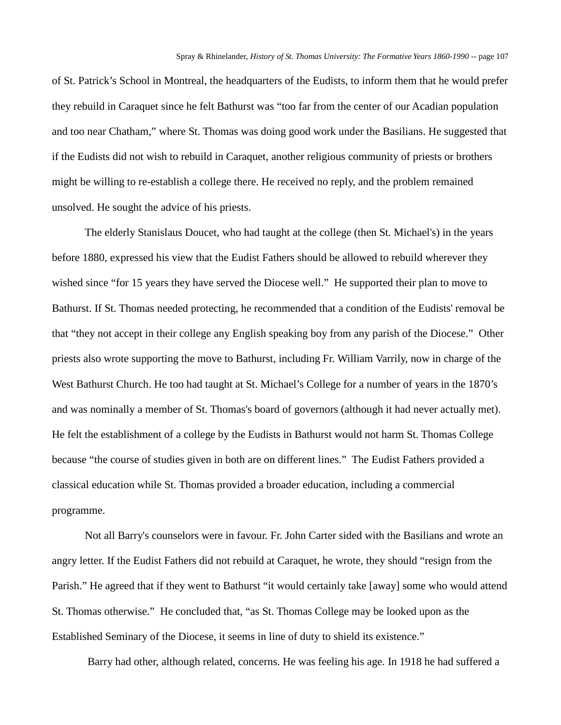of St. Patrick's School in Montreal, the headquarters of the Eudists, to inform them that he would prefer they rebuild in Caraquet since he felt Bathurst was "too far from the center of our Acadian population and too near Chatham," where St. Thomas was doing good work under the Basilians. He suggested that if the Eudists did not wish to rebuild in Caraquet, another religious community of priests or brothers might be willing to re-establish a college there. He received no reply, and the problem remained unsolved. He sought the advice of his priests.

The elderly Stanislaus Doucet, who had taught at the college (then St. Michael's) in the years before 1880, expressed his view that the Eudist Fathers should be allowed to rebuild wherever they wished since "for 15 years they have served the Diocese well." He supported their plan to move to Bathurst. If St. Thomas needed protecting, he recommended that a condition of the Eudists' removal be that "they not accept in their college any English speaking boy from any parish of the Diocese." Other priests also wrote supporting the move to Bathurst, including Fr. William Varrily, now in charge of the West Bathurst Church. He too had taught at St. Michael's College for a number of years in the 1870's and was nominally a member of St. Thomas's board of governors (although it had never actually met). He felt the establishment of a college by the Eudists in Bathurst would not harm St. Thomas College because "the course of studies given in both are on different lines." The Eudist Fathers provided a classical education while St. Thomas provided a broader education, including a commercial programme.

Not all Barry's counselors were in favour. Fr. John Carter sided with the Basilians and wrote an angry letter. If the Eudist Fathers did not rebuild at Caraquet, he wrote, they should "resign from the Parish." He agreed that if they went to Bathurst "it would certainly take [away] some who would attend St. Thomas otherwise." He concluded that, "as St. Thomas College may be looked upon as the Established Seminary of the Diocese, it seems in line of duty to shield its existence."

Barry had other, although related, concerns. He was feeling his age. In 1918 he had suffered a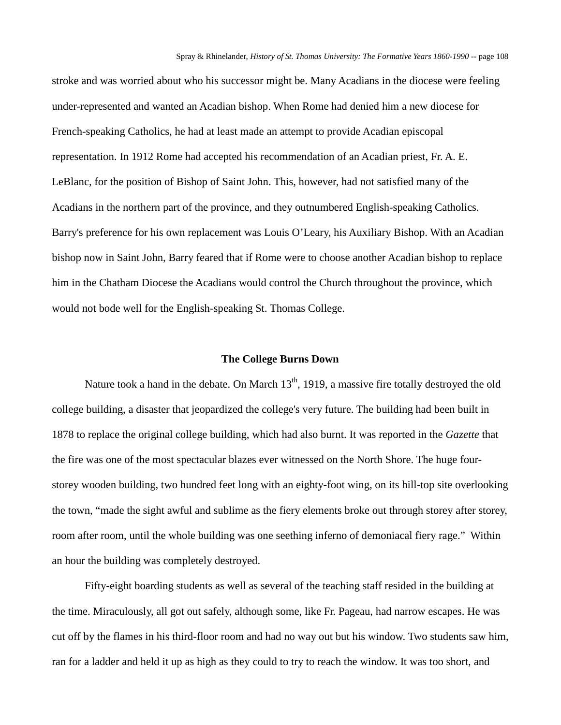stroke and was worried about who his successor might be. Many Acadians in the diocese were feeling under-represented and wanted an Acadian bishop. When Rome had denied him a new diocese for French-speaking Catholics, he had at least made an attempt to provide Acadian episcopal representation. In 1912 Rome had accepted his recommendation of an Acadian priest, Fr. A. E. LeBlanc, for the position of Bishop of Saint John. This, however, had not satisfied many of the Acadians in the northern part of the province, and they outnumbered English-speaking Catholics. Barry's preference for his own replacement was Louis O'Leary, his Auxiliary Bishop. With an Acadian bishop now in Saint John, Barry feared that if Rome were to choose another Acadian bishop to replace him in the Chatham Diocese the Acadians would control the Church throughout the province, which would not bode well for the English-speaking St. Thomas College.

#### **The College Burns Down**

Nature took a hand in the debate. On March  $13<sup>th</sup>$ , 1919, a massive fire totally destroyed the old college building, a disaster that jeopardized the college's very future. The building had been built in 1878 to replace the original college building, which had also burnt. It was reported in the *Gazette* that the fire was one of the most spectacular blazes ever witnessed on the North Shore. The huge fourstorey wooden building, two hundred feet long with an eighty-foot wing, on its hill-top site overlooking the town, "made the sight awful and sublime as the fiery elements broke out through storey after storey, room after room, until the whole building was one seething inferno of demoniacal fiery rage." Within an hour the building was completely destroyed.

Fifty-eight boarding students as well as several of the teaching staff resided in the building at the time. Miraculously, all got out safely, although some, like Fr. Pageau, had narrow escapes. He was cut off by the flames in his third-floor room and had no way out but his window. Two students saw him, ran for a ladder and held it up as high as they could to try to reach the window. It was too short, and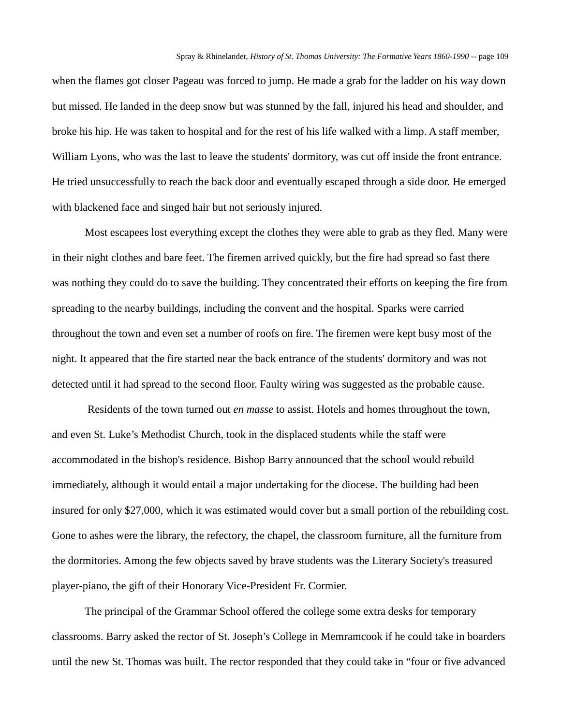when the flames got closer Pageau was forced to jump. He made a grab for the ladder on his way down but missed. He landed in the deep snow but was stunned by the fall, injured his head and shoulder, and broke his hip. He was taken to hospital and for the rest of his life walked with a limp. A staff member, William Lyons, who was the last to leave the students' dormitory, was cut off inside the front entrance. He tried unsuccessfully to reach the back door and eventually escaped through a side door. He emerged with blackened face and singed hair but not seriously injured.

Most escapees lost everything except the clothes they were able to grab as they fled. Many were in their night clothes and bare feet. The firemen arrived quickly, but the fire had spread so fast there was nothing they could do to save the building. They concentrated their efforts on keeping the fire from spreading to the nearby buildings, including the convent and the hospital. Sparks were carried throughout the town and even set a number of roofs on fire. The firemen were kept busy most of the night. It appeared that the fire started near the back entrance of the students' dormitory and was not detected until it had spread to the second floor. Faulty wiring was suggested as the probable cause.

Residents of the town turned out *en masse* to assist. Hotels and homes throughout the town, and even St. Luke's Methodist Church, took in the displaced students while the staff were accommodated in the bishop's residence. Bishop Barry announced that the school would rebuild immediately, although it would entail a major undertaking for the diocese. The building had been insured for only \$27,000, which it was estimated would cover but a small portion of the rebuilding cost. Gone to ashes were the library, the refectory, the chapel, the classroom furniture, all the furniture from the dormitories. Among the few objects saved by brave students was the Literary Society's treasured player-piano, the gift of their Honorary Vice-President Fr. Cormier.

The principal of the Grammar School offered the college some extra desks for temporary classrooms. Barry asked the rector of St. Joseph's College in Memramcook if he could take in boarders until the new St. Thomas was built. The rector responded that they could take in "four or five advanced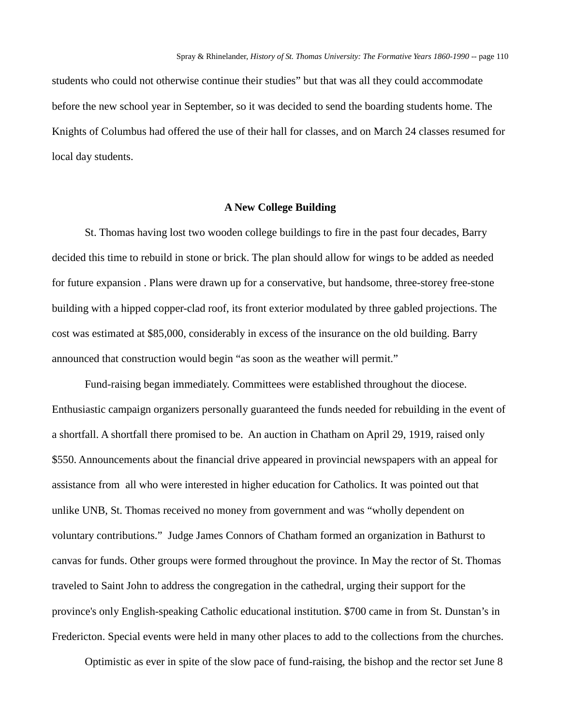students who could not otherwise continue their studies" but that was all they could accommodate before the new school year in September, so it was decided to send the boarding students home. The Knights of Columbus had offered the use of their hall for classes, and on March 24 classes resumed for local day students.

### **A New College Building**

St. Thomas having lost two wooden college buildings to fire in the past four decades, Barry decided this time to rebuild in stone or brick. The plan should allow for wings to be added as needed for future expansion . Plans were drawn up for a conservative, but handsome, three-storey free-stone building with a hipped copper-clad roof, its front exterior modulated by three gabled projections. The cost was estimated at \$85,000, considerably in excess of the insurance on the old building. Barry announced that construction would begin "as soon as the weather will permit."

Fund-raising began immediately. Committees were established throughout the diocese. Enthusiastic campaign organizers personally guaranteed the funds needed for rebuilding in the event of a shortfall. A shortfall there promised to be. An auction in Chatham on April 29, 1919, raised only \$550. Announcements about the financial drive appeared in provincial newspapers with an appeal for assistance from all who were interested in higher education for Catholics. It was pointed out that unlike UNB, St. Thomas received no money from government and was "wholly dependent on voluntary contributions." Judge James Connors of Chatham formed an organization in Bathurst to canvas for funds. Other groups were formed throughout the province. In May the rector of St. Thomas traveled to Saint John to address the congregation in the cathedral, urging their support for the province's only English-speaking Catholic educational institution. \$700 came in from St. Dunstan's in Fredericton. Special events were held in many other places to add to the collections from the churches.

Optimistic as ever in spite of the slow pace of fund-raising, the bishop and the rector set June 8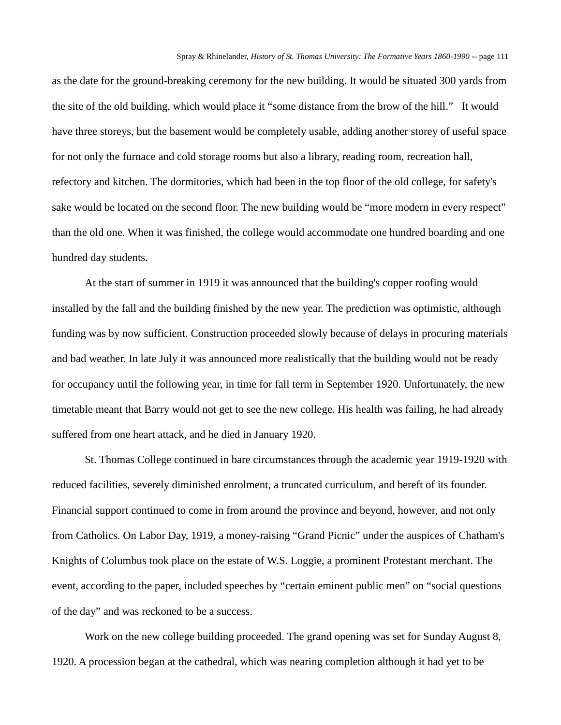as the date for the ground-breaking ceremony for the new building. It would be situated 300 yards from the site of the old building, which would place it "some distance from the brow of the hill." It would have three storeys, but the basement would be completely usable, adding another storey of useful space for not only the furnace and cold storage rooms but also a library, reading room, recreation hall, refectory and kitchen. The dormitories, which had been in the top floor of the old college, for safety's sake would be located on the second floor. The new building would be "more modern in every respect" than the old one. When it was finished, the college would accommodate one hundred boarding and one hundred day students.

At the start of summer in 1919 it was announced that the building's copper roofing would installed by the fall and the building finished by the new year. The prediction was optimistic, although funding was by now sufficient. Construction proceeded slowly because of delays in procuring materials and bad weather. In late July it was announced more realistically that the building would not be ready for occupancy until the following year, in time for fall term in September 1920. Unfortunately, the new timetable meant that Barry would not get to see the new college. His health was failing, he had already suffered from one heart attack, and he died in January 1920.

St. Thomas College continued in bare circumstances through the academic year 1919-1920 with reduced facilities, severely diminished enrolment, a truncated curriculum, and bereft of its founder. Financial support continued to come in from around the province and beyond, however, and not only from Catholics. On Labor Day, 1919, a money-raising "Grand Picnic" under the auspices of Chatham's Knights of Columbus took place on the estate of W.S. Loggie, a prominent Protestant merchant. The event, according to the paper, included speeches by "certain eminent public men" on "social questions of the day" and was reckoned to be a success.

Work on the new college building proceeded. The grand opening was set for Sunday August 8, 1920. A procession began at the cathedral, which was nearing completion although it had yet to be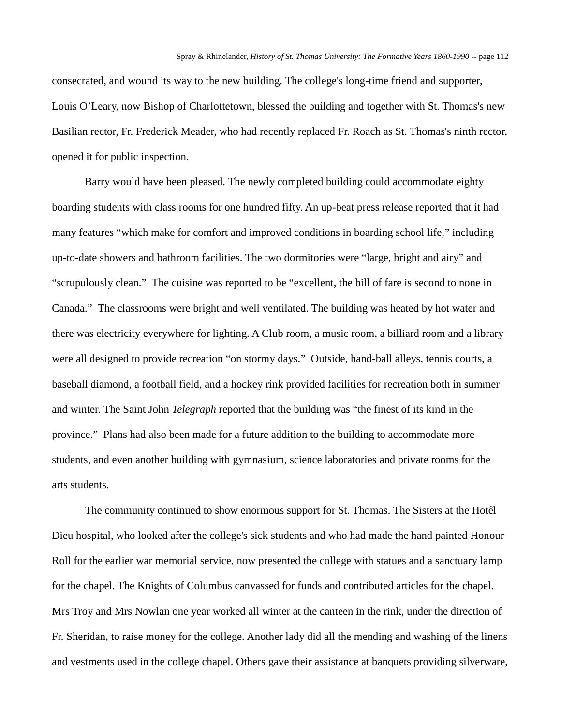consecrated, and wound its way to the new building. The college's long-time friend and supporter, Louis O'Leary, now Bishop of Charlottetown, blessed the building and together with St. Thomas's new Basilian rector, Fr. Frederick Meader, who had recently replaced Fr. Roach as St. Thomas's ninth rector, opened it for public inspection.

Barry would have been pleased. The newly completed building could accommodate eighty boarding students with class rooms for one hundred fifty. An up-beat press release reported that it had many features "which make for comfort and improved conditions in boarding school life," including up-to-date showers and bathroom facilities. The two dormitories were "large, bright and airy" and "scrupulously clean." The cuisine was reported to be "excellent, the bill of fare is second to none in Canada." The classrooms were bright and well ventilated. The building was heated by hot water and there was electricity everywhere for lighting. A Club room, a music room, a billiard room and a library were all designed to provide recreation "on stormy days." Outside, hand-ball alleys, tennis courts, a baseball diamond, a football field, and a hockey rink provided facilities for recreation both in summer and winter. The Saint John *Telegraph* reported that the building was "the finest of its kind in the province." Plans had also been made for a future addition to the building to accommodate more students, and even another building with gymnasium, science laboratories and private rooms for the arts students.

The community continued to show enormous support for St. Thomas. The Sisters at the Hotêl Dieu hospital, who looked after the college's sick students and who had made the hand painted Honour Roll for the earlier war memorial service, now presented the college with statues and a sanctuary lamp for the chapel. The Knights of Columbus canvassed for funds and contributed articles for the chapel. Mrs Troy and Mrs Nowlan one year worked all winter at the canteen in the rink, under the direction of Fr. Sheridan, to raise money for the college. Another lady did all the mending and washing of the linens and vestments used in the college chapel. Others gave their assistance at banquets providing silverware,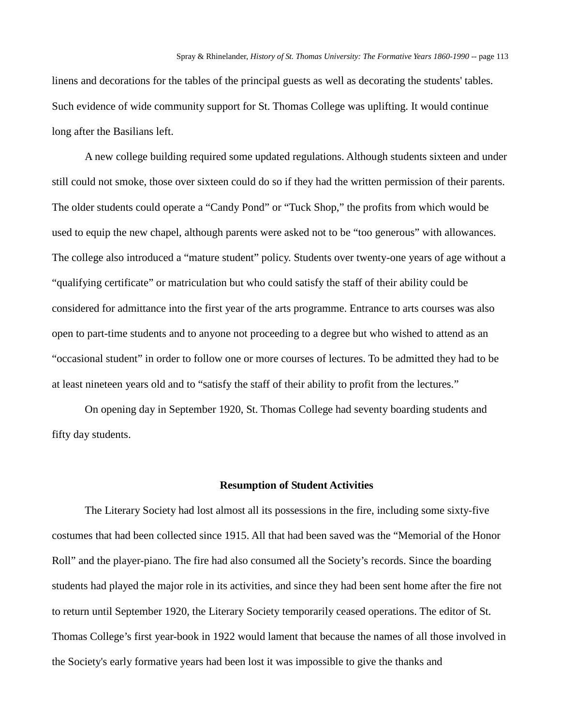linens and decorations for the tables of the principal guests as well as decorating the students' tables. Such evidence of wide community support for St. Thomas College was uplifting. It would continue long after the Basilians left.

A new college building required some updated regulations. Although students sixteen and under still could not smoke, those over sixteen could do so if they had the written permission of their parents. The older students could operate a "Candy Pond" or "Tuck Shop," the profits from which would be used to equip the new chapel, although parents were asked not to be "too generous" with allowances. The college also introduced a "mature student" policy. Students over twenty-one years of age without a "qualifying certificate" or matriculation but who could satisfy the staff of their ability could be considered for admittance into the first year of the arts programme. Entrance to arts courses was also open to part-time students and to anyone not proceeding to a degree but who wished to attend as an "occasional student" in order to follow one or more courses of lectures. To be admitted they had to be at least nineteen years old and to "satisfy the staff of their ability to profit from the lectures."

On opening day in September 1920, St. Thomas College had seventy boarding students and fifty day students.

#### **Resumption of Student Activities**

The Literary Society had lost almost all its possessions in the fire, including some sixty-five costumes that had been collected since 1915. All that had been saved was the "Memorial of the Honor Roll" and the player-piano. The fire had also consumed all the Society's records. Since the boarding students had played the major role in its activities, and since they had been sent home after the fire not to return until September 1920, the Literary Society temporarily ceased operations. The editor of St. Thomas College's first year-book in 1922 would lament that because the names of all those involved in the Society's early formative years had been lost it was impossible to give the thanks and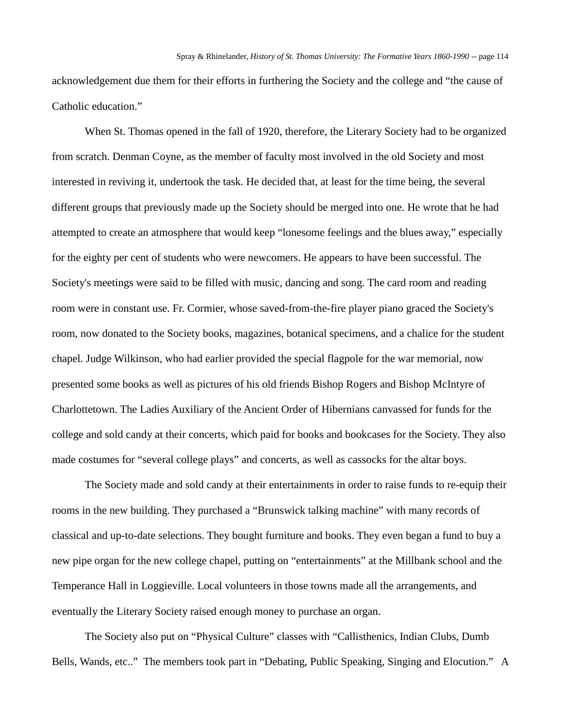acknowledgement due them for their efforts in furthering the Society and the college and "the cause of Catholic education."

When St. Thomas opened in the fall of 1920, therefore, the Literary Society had to be organized from scratch. Denman Coyne, as the member of faculty most involved in the old Society and most interested in reviving it, undertook the task. He decided that, at least for the time being, the several different groups that previously made up the Society should be merged into one. He wrote that he had attempted to create an atmosphere that would keep "lonesome feelings and the blues away," especially for the eighty per cent of students who were newcomers. He appears to have been successful. The Society's meetings were said to be filled with music, dancing and song. The card room and reading room were in constant use. Fr. Cormier, whose saved-from-the-fire player piano graced the Society's room, now donated to the Society books, magazines, botanical specimens, and a chalice for the student chapel. Judge Wilkinson, who had earlier provided the special flagpole for the war memorial, now presented some books as well as pictures of his old friends Bishop Rogers and Bishop McIntyre of Charlottetown. The Ladies Auxiliary of the Ancient Order of Hibernians canvassed for funds for the college and sold candy at their concerts, which paid for books and bookcases for the Society. They also made costumes for "several college plays" and concerts, as well as cassocks for the altar boys.

The Society made and sold candy at their entertainments in order to raise funds to re-equip their rooms in the new building. They purchased a "Brunswick talking machine" with many records of classical and up-to-date selections. They bought furniture and books. They even began a fund to buy a new pipe organ for the new college chapel, putting on "entertainments" at the Millbank school and the Temperance Hall in Loggieville. Local volunteers in those towns made all the arrangements, and eventually the Literary Society raised enough money to purchase an organ.

The Society also put on "Physical Culture" classes with "Callisthenics, Indian Clubs, Dumb Bells, Wands, etc.." The members took part in "Debating, Public Speaking, Singing and Elocution." A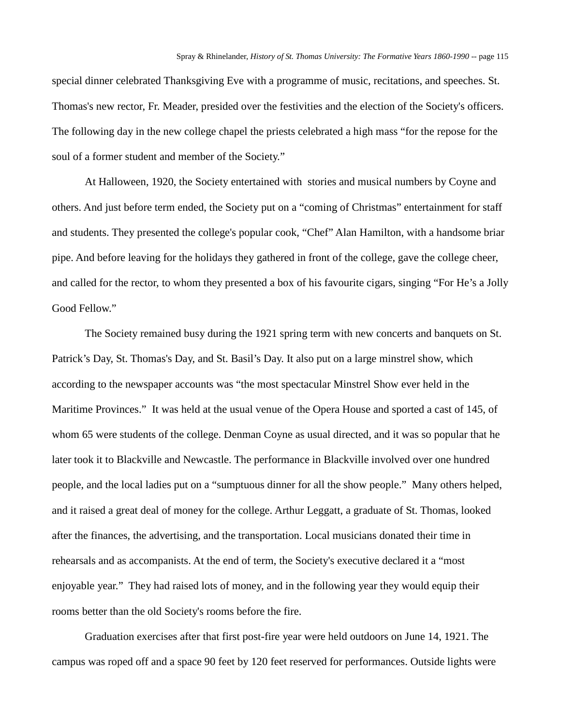special dinner celebrated Thanksgiving Eve with a programme of music, recitations, and speeches. St. Thomas's new rector, Fr. Meader, presided over the festivities and the election of the Society's officers. The following day in the new college chapel the priests celebrated a high mass "for the repose for the soul of a former student and member of the Society."

At Halloween, 1920, the Society entertained with stories and musical numbers by Coyne and others. And just before term ended, the Society put on a "coming of Christmas" entertainment for staff and students. They presented the college's popular cook, "Chef" Alan Hamilton, with a handsome briar pipe. And before leaving for the holidays they gathered in front of the college, gave the college cheer, and called for the rector, to whom they presented a box of his favourite cigars, singing "For He's a Jolly Good Fellow."

The Society remained busy during the 1921 spring term with new concerts and banquets on St. Patrick's Day, St. Thomas's Day, and St. Basil's Day. It also put on a large minstrel show, which according to the newspaper accounts was "the most spectacular Minstrel Show ever held in the Maritime Provinces." It was held at the usual venue of the Opera House and sported a cast of 145, of whom 65 were students of the college. Denman Coyne as usual directed, and it was so popular that he later took it to Blackville and Newcastle. The performance in Blackville involved over one hundred people, and the local ladies put on a "sumptuous dinner for all the show people." Many others helped, and it raised a great deal of money for the college. Arthur Leggatt, a graduate of St. Thomas, looked after the finances, the advertising, and the transportation. Local musicians donated their time in rehearsals and as accompanists. At the end of term, the Society's executive declared it a "most enjoyable year." They had raised lots of money, and in the following year they would equip their rooms better than the old Society's rooms before the fire.

Graduation exercises after that first post-fire year were held outdoors on June 14, 1921. The campus was roped off and a space 90 feet by 120 feet reserved for performances. Outside lights were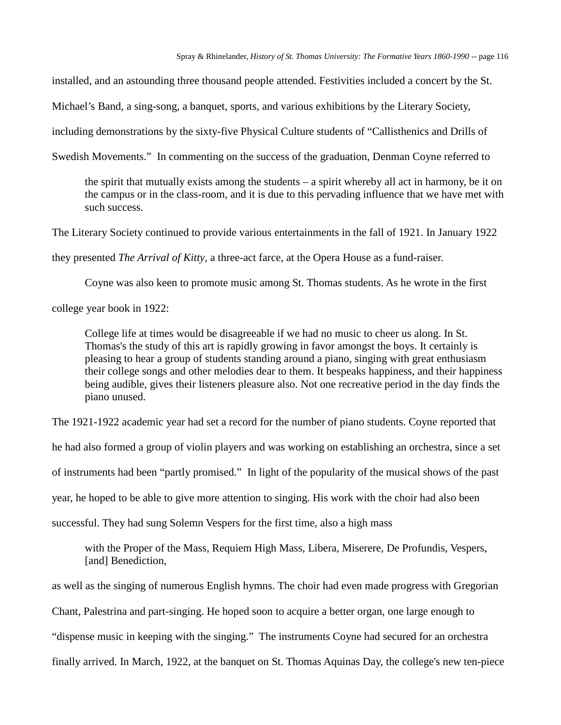installed, and an astounding three thousand people attended. Festivities included a concert by the St.

Michael's Band, a sing-song, a banquet, sports, and various exhibitions by the Literary Society,

including demonstrations by the sixty-five Physical Culture students of "Callisthenics and Drills of

Swedish Movements." In commenting on the success of the graduation, Denman Coyne referred to

the spirit that mutually exists among the students – a spirit whereby all act in harmony, be it on the campus or in the class-room, and it is due to this pervading influence that we have met with such success.

The Literary Society continued to provide various entertainments in the fall of 1921. In January 1922

they presented *The Arrival of Kitty*, a three-act farce, at the Opera House as a fund-raiser.

Coyne was also keen to promote music among St. Thomas students. As he wrote in the first

college year book in 1922:

College life at times would be disagreeable if we had no music to cheer us along. In St. Thomas's the study of this art is rapidly growing in favor amongst the boys. It certainly is pleasing to hear a group of students standing around a piano, singing with great enthusiasm their college songs and other melodies dear to them. It bespeaks happiness, and their happiness being audible, gives their listeners pleasure also. Not one recreative period in the day finds the piano unused.

The 1921-1922 academic year had set a record for the number of piano students. Coyne reported that he had also formed a group of violin players and was working on establishing an orchestra, since a set of instruments had been "partly promised." In light of the popularity of the musical shows of the past year, he hoped to be able to give more attention to singing. His work with the choir had also been successful. They had sung Solemn Vespers for the first time, also a high mass

with the Proper of the Mass, Requiem High Mass, Libera, Miserere, De Profundis, Vespers, [and] Benediction,

as well as the singing of numerous English hymns. The choir had even made progress with Gregorian Chant, Palestrina and part-singing. He hoped soon to acquire a better organ, one large enough to "dispense music in keeping with the singing." The instruments Coyne had secured for an orchestra finally arrived. In March, 1922, at the banquet on St. Thomas Aquinas Day, the college's new ten-piece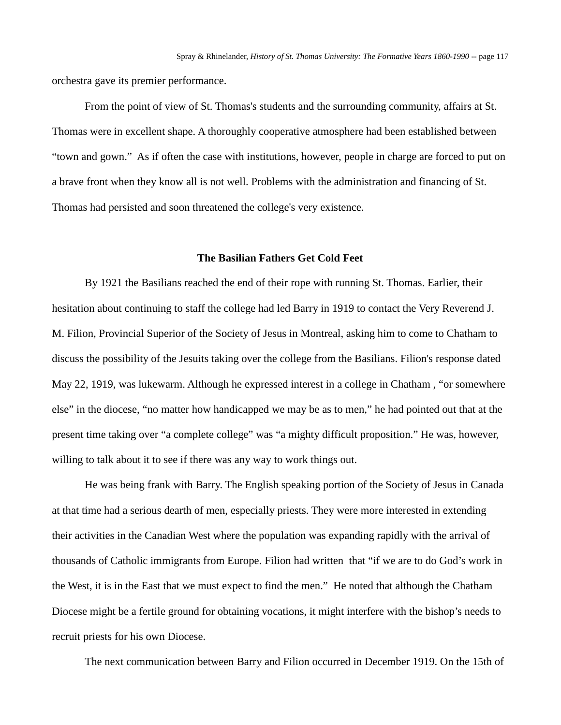orchestra gave its premier performance.

From the point of view of St. Thomas's students and the surrounding community, affairs at St. Thomas were in excellent shape. A thoroughly cooperative atmosphere had been established between "town and gown." As if often the case with institutions, however, people in charge are forced to put on a brave front when they know all is not well. Problems with the administration and financing of St. Thomas had persisted and soon threatened the college's very existence.

# **The Basilian Fathers Get Cold Feet**

By 1921 the Basilians reached the end of their rope with running St. Thomas. Earlier, their hesitation about continuing to staff the college had led Barry in 1919 to contact the Very Reverend J. M. Filion, Provincial Superior of the Society of Jesus in Montreal, asking him to come to Chatham to discuss the possibility of the Jesuits taking over the college from the Basilians. Filion's response dated May 22, 1919, was lukewarm. Although he expressed interest in a college in Chatham , "or somewhere else" in the diocese, "no matter how handicapped we may be as to men," he had pointed out that at the present time taking over "a complete college" was "a mighty difficult proposition." He was, however, willing to talk about it to see if there was any way to work things out.

He was being frank with Barry. The English speaking portion of the Society of Jesus in Canada at that time had a serious dearth of men, especially priests. They were more interested in extending their activities in the Canadian West where the population was expanding rapidly with the arrival of thousands of Catholic immigrants from Europe. Filion had written that "if we are to do God's work in the West, it is in the East that we must expect to find the men." He noted that although the Chatham Diocese might be a fertile ground for obtaining vocations, it might interfere with the bishop's needs to recruit priests for his own Diocese.

The next communication between Barry and Filion occurred in December 1919. On the 15th of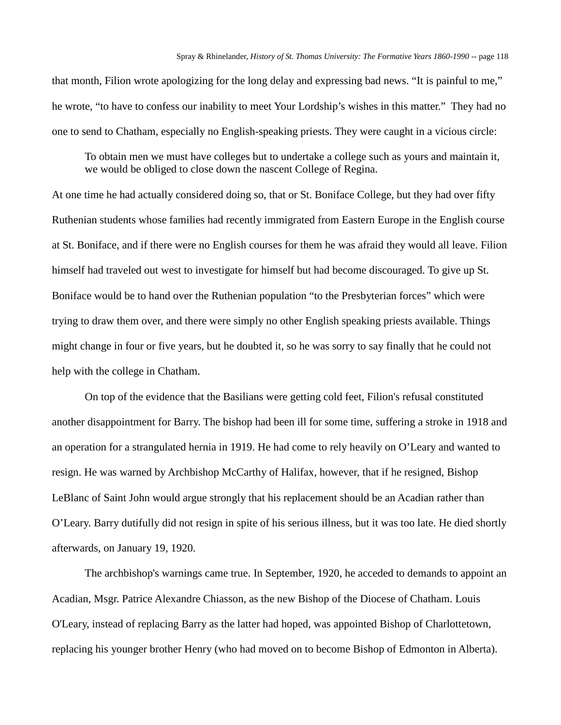that month, Filion wrote apologizing for the long delay and expressing bad news. "It is painful to me," he wrote, "to have to confess our inability to meet Your Lordship's wishes in this matter." They had no one to send to Chatham, especially no English-speaking priests. They were caught in a vicious circle:

To obtain men we must have colleges but to undertake a college such as yours and maintain it, we would be obliged to close down the nascent College of Regina.

At one time he had actually considered doing so, that or St. Boniface College, but they had over fifty Ruthenian students whose families had recently immigrated from Eastern Europe in the English course at St. Boniface, and if there were no English courses for them he was afraid they would all leave. Filion himself had traveled out west to investigate for himself but had become discouraged. To give up St. Boniface would be to hand over the Ruthenian population "to the Presbyterian forces" which were trying to draw them over, and there were simply no other English speaking priests available. Things might change in four or five years, but he doubted it, so he was sorry to say finally that he could not help with the college in Chatham.

On top of the evidence that the Basilians were getting cold feet, Filion's refusal constituted another disappointment for Barry. The bishop had been ill for some time, suffering a stroke in 1918 and an operation for a strangulated hernia in 1919. He had come to rely heavily on O'Leary and wanted to resign. He was warned by Archbishop McCarthy of Halifax, however, that if he resigned, Bishop LeBlanc of Saint John would argue strongly that his replacement should be an Acadian rather than O'Leary. Barry dutifully did not resign in spite of his serious illness, but it was too late. He died shortly afterwards, on January 19, 1920.

The archbishop's warnings came true. In September, 1920, he acceded to demands to appoint an Acadian, Msgr. Patrice Alexandre Chiasson, as the new Bishop of the Diocese of Chatham. Louis O'Leary, instead of replacing Barry as the latter had hoped, was appointed Bishop of Charlottetown, replacing his younger brother Henry (who had moved on to become Bishop of Edmonton in Alberta).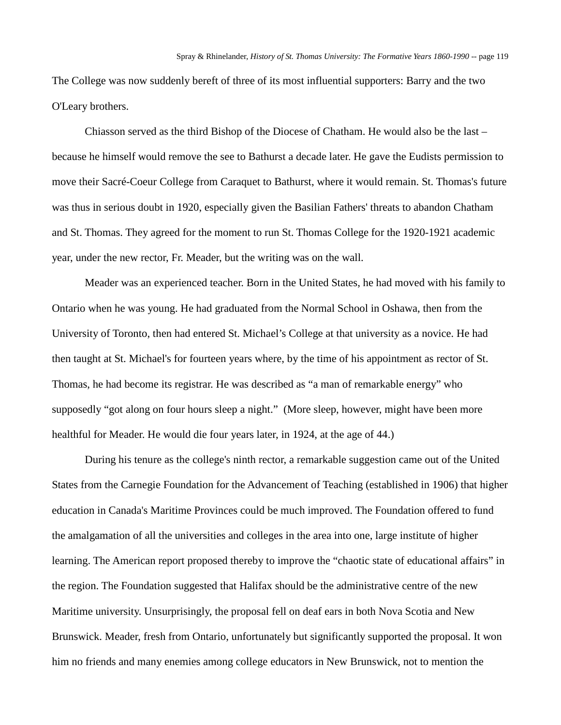The College was now suddenly bereft of three of its most influential supporters: Barry and the two O'Leary brothers.

Chiasson served as the third Bishop of the Diocese of Chatham. He would also be the last – because he himself would remove the see to Bathurst a decade later. He gave the Eudists permission to move their Sacré-Coeur College from Caraquet to Bathurst, where it would remain. St. Thomas's future was thus in serious doubt in 1920, especially given the Basilian Fathers' threats to abandon Chatham and St. Thomas. They agreed for the moment to run St. Thomas College for the 1920-1921 academic year, under the new rector, Fr. Meader, but the writing was on the wall.

Meader was an experienced teacher. Born in the United States, he had moved with his family to Ontario when he was young. He had graduated from the Normal School in Oshawa, then from the University of Toronto, then had entered St. Michael's College at that university as a novice. He had then taught at St. Michael's for fourteen years where, by the time of his appointment as rector of St. Thomas, he had become its registrar. He was described as "a man of remarkable energy" who supposedly "got along on four hours sleep a night." (More sleep, however, might have been more healthful for Meader. He would die four years later, in 1924, at the age of 44.)

During his tenure as the college's ninth rector, a remarkable suggestion came out of the United States from the Carnegie Foundation for the Advancement of Teaching (established in 1906) that higher education in Canada's Maritime Provinces could be much improved. The Foundation offered to fund the amalgamation of all the universities and colleges in the area into one, large institute of higher learning. The American report proposed thereby to improve the "chaotic state of educational affairs" in the region. The Foundation suggested that Halifax should be the administrative centre of the new Maritime university. Unsurprisingly, the proposal fell on deaf ears in both Nova Scotia and New Brunswick. Meader, fresh from Ontario, unfortunately but significantly supported the proposal. It won him no friends and many enemies among college educators in New Brunswick, not to mention the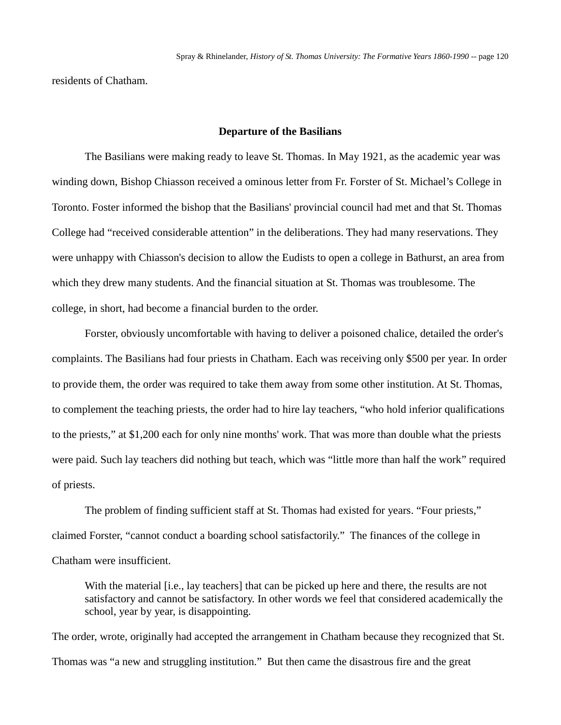residents of Chatham.

### **Departure of the Basilians**

The Basilians were making ready to leave St. Thomas. In May 1921, as the academic year was winding down, Bishop Chiasson received a ominous letter from Fr. Forster of St. Michael's College in Toronto. Foster informed the bishop that the Basilians' provincial council had met and that St. Thomas College had "received considerable attention" in the deliberations. They had many reservations. They were unhappy with Chiasson's decision to allow the Eudists to open a college in Bathurst, an area from which they drew many students. And the financial situation at St. Thomas was troublesome. The college, in short, had become a financial burden to the order.

Forster, obviously uncomfortable with having to deliver a poisoned chalice, detailed the order's complaints. The Basilians had four priests in Chatham. Each was receiving only \$500 per year. In order to provide them, the order was required to take them away from some other institution. At St. Thomas, to complement the teaching priests, the order had to hire lay teachers, "who hold inferior qualifications to the priests," at \$1,200 each for only nine months' work. That was more than double what the priests were paid. Such lay teachers did nothing but teach, which was "little more than half the work" required of priests.

The problem of finding sufficient staff at St. Thomas had existed for years. "Four priests," claimed Forster, "cannot conduct a boarding school satisfactorily." The finances of the college in Chatham were insufficient.

With the material *[i.e., lay teachers]* that can be picked up here and there, the results are not satisfactory and cannot be satisfactory. In other words we feel that considered academically the school, year by year, is disappointing.

The order, wrote, originally had accepted the arrangement in Chatham because they recognized that St. Thomas was "a new and struggling institution." But then came the disastrous fire and the great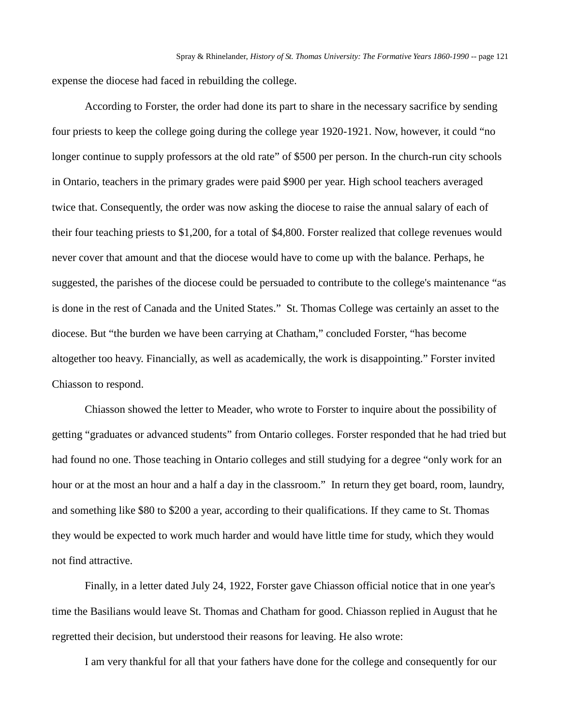expense the diocese had faced in rebuilding the college.

According to Forster, the order had done its part to share in the necessary sacrifice by sending four priests to keep the college going during the college year 1920-1921. Now, however, it could "no longer continue to supply professors at the old rate" of \$500 per person. In the church-run city schools in Ontario, teachers in the primary grades were paid \$900 per year. High school teachers averaged twice that. Consequently, the order was now asking the diocese to raise the annual salary of each of their four teaching priests to \$1,200, for a total of \$4,800. Forster realized that college revenues would never cover that amount and that the diocese would have to come up with the balance. Perhaps, he suggested, the parishes of the diocese could be persuaded to contribute to the college's maintenance "as is done in the rest of Canada and the United States." St. Thomas College was certainly an asset to the diocese. But "the burden we have been carrying at Chatham," concluded Forster, "has become altogether too heavy. Financially, as well as academically, the work is disappointing." Forster invited Chiasson to respond.

Chiasson showed the letter to Meader, who wrote to Forster to inquire about the possibility of getting "graduates or advanced students" from Ontario colleges. Forster responded that he had tried but had found no one. Those teaching in Ontario colleges and still studying for a degree "only work for an hour or at the most an hour and a half a day in the classroom." In return they get board, room, laundry, and something like \$80 to \$200 a year, according to their qualifications. If they came to St. Thomas they would be expected to work much harder and would have little time for study, which they would not find attractive.

Finally, in a letter dated July 24, 1922, Forster gave Chiasson official notice that in one year's time the Basilians would leave St. Thomas and Chatham for good. Chiasson replied in August that he regretted their decision, but understood their reasons for leaving. He also wrote:

I am very thankful for all that your fathers have done for the college and consequently for our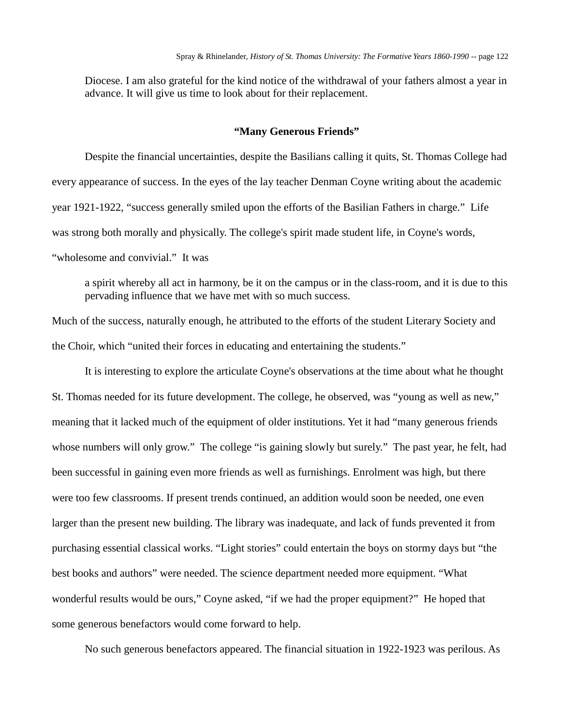Diocese. I am also grateful for the kind notice of the withdrawal of your fathers almost a year in advance. It will give us time to look about for their replacement.

# **"Many Generous Friends"**

Despite the financial uncertainties, despite the Basilians calling it quits, St. Thomas College had every appearance of success. In the eyes of the lay teacher Denman Coyne writing about the academic year 1921-1922, "success generally smiled upon the efforts of the Basilian Fathers in charge." Life was strong both morally and physically. The college's spirit made student life, in Coyne's words, "wholesome and convivial." It was

a spirit whereby all act in harmony, be it on the campus or in the class-room, and it is due to this pervading influence that we have met with so much success.

Much of the success, naturally enough, he attributed to the efforts of the student Literary Society and the Choir, which "united their forces in educating and entertaining the students."

It is interesting to explore the articulate Coyne's observations at the time about what he thought St. Thomas needed for its future development. The college, he observed, was "young as well as new," meaning that it lacked much of the equipment of older institutions. Yet it had "many generous friends whose numbers will only grow." The college "is gaining slowly but surely." The past year, he felt, had been successful in gaining even more friends as well as furnishings. Enrolment was high, but there were too few classrooms. If present trends continued, an addition would soon be needed, one even larger than the present new building. The library was inadequate, and lack of funds prevented it from purchasing essential classical works. "Light stories" could entertain the boys on stormy days but "the best books and authors" were needed. The science department needed more equipment. "What wonderful results would be ours," Coyne asked, "if we had the proper equipment?" He hoped that some generous benefactors would come forward to help.

No such generous benefactors appeared. The financial situation in 1922-1923 was perilous. As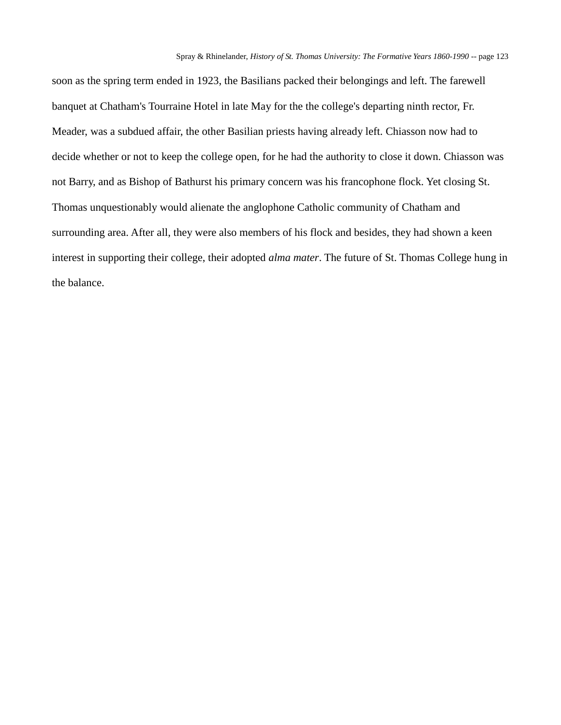soon as the spring term ended in 1923, the Basilians packed their belongings and left. The farewell banquet at Chatham's Tourraine Hotel in late May for the the college's departing ninth rector, Fr. Meader, was a subdued affair, the other Basilian priests having already left. Chiasson now had to decide whether or not to keep the college open, for he had the authority to close it down. Chiasson was not Barry, and as Bishop of Bathurst his primary concern was his francophone flock. Yet closing St. Thomas unquestionably would alienate the anglophone Catholic community of Chatham and surrounding area. After all, they were also members of his flock and besides, they had shown a keen interest in supporting their college, their adopted *alma mater*. The future of St. Thomas College hung in the balance.